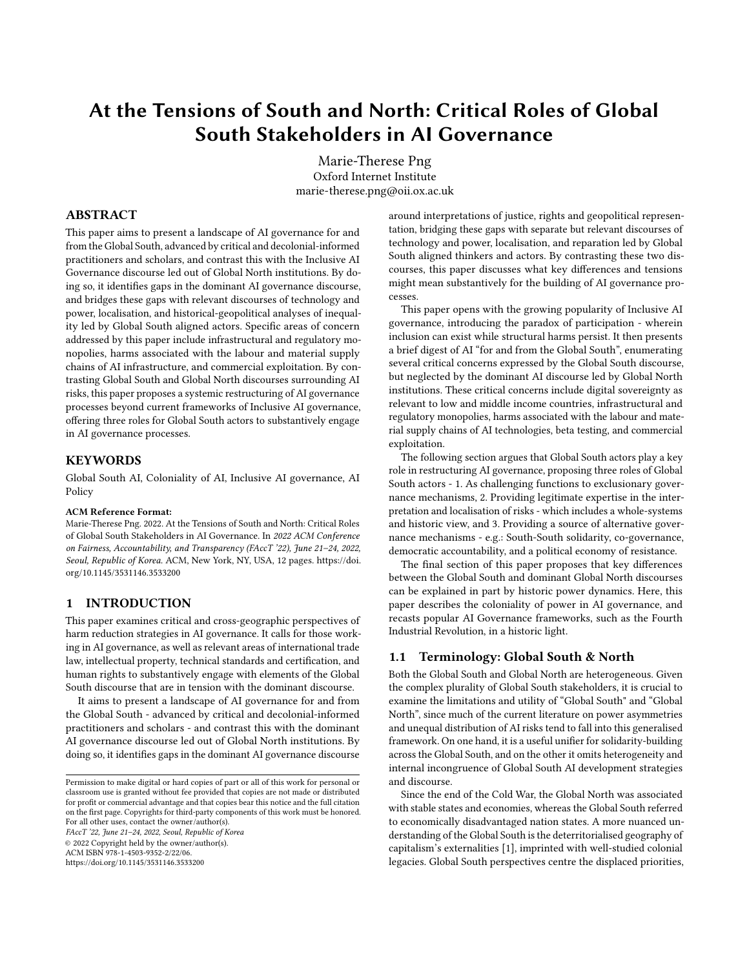# At the Tensions of South and North: Critical Roles of Global South Stakeholders in AI Governance

Marie-Therese Png Oxford Internet Institute marie-therese.png@oii.ox.ac.uk

### ABSTRACT

This paper aims to present a landscape of AI governance for and from the Global South, advanced by critical and decolonial-informed practitioners and scholars, and contrast this with the Inclusive AI Governance discourse led out of Global North institutions. By doing so, it identifies gaps in the dominant AI governance discourse, and bridges these gaps with relevant discourses of technology and power, localisation, and historical-geopolitical analyses of inequality led by Global South aligned actors. Specific areas of concern addressed by this paper include infrastructural and regulatory monopolies, harms associated with the labour and material supply chains of AI infrastructure, and commercial exploitation. By contrasting Global South and Global North discourses surrounding AI risks, this paper proposes a systemic restructuring of AI governance processes beyond current frameworks of Inclusive AI governance, offering three roles for Global South actors to substantively engage in AI governance processes.

### **KEYWORDS**

Global South AI, Coloniality of AI, Inclusive AI governance, AI Policy

#### ACM Reference Format:

Marie-Therese Png. 2022. At the Tensions of South and North: Critical Roles of Global South Stakeholders in AI Governance. In 2022 ACM Conference on Fairness, Accountability, and Transparency (FAccT '22), June 21–24, 2022, Seoul, Republic of Korea. ACM, New York, NY, USA, [12](#page-11-0) pages. [https://doi.](https://doi.org/10.1145/3531146.3533200) [org/10.1145/3531146.3533200](https://doi.org/10.1145/3531146.3533200)

#### 1 INTRODUCTION

This paper examines critical and cross-geographic perspectives of harm reduction strategies in AI governance. It calls for those working in AI governance, as well as relevant areas of international trade law, intellectual property, technical standards and certification, and human rights to substantively engage with elements of the Global South discourse that are in tension with the dominant discourse.

It aims to present a landscape of AI governance for and from the Global South - advanced by critical and decolonial-informed practitioners and scholars - and contrast this with the dominant AI governance discourse led out of Global North institutions. By doing so, it identifies gaps in the dominant AI governance discourse

FAccT '22, June 21–24, 2022, Seoul, Republic of Korea © 2022 Copyright held by the owner/author(s). ACM ISBN 978-1-4503-9352-2/22/06.

<https://doi.org/10.1145/3531146.3533200>

around interpretations of justice, rights and geopolitical representation, bridging these gaps with separate but relevant discourses of technology and power, localisation, and reparation led by Global South aligned thinkers and actors. By contrasting these two discourses, this paper discusses what key differences and tensions might mean substantively for the building of AI governance processes.

This paper opens with the growing popularity of Inclusive AI governance, introducing the paradox of participation - wherein inclusion can exist while structural harms persist. It then presents a brief digest of AI "for and from the Global South", enumerating several critical concerns expressed by the Global South discourse, but neglected by the dominant AI discourse led by Global North institutions. These critical concerns include digital sovereignty as relevant to low and middle income countries, infrastructural and regulatory monopolies, harms associated with the labour and material supply chains of AI technologies, beta testing, and commercial exploitation.

The following section argues that Global South actors play a key role in restructuring AI governance, proposing three roles of Global South actors - 1. As challenging functions to exclusionary governance mechanisms, 2. Providing legitimate expertise in the interpretation and localisation of risks - which includes a whole-systems and historic view, and 3. Providing a source of alternative governance mechanisms - e.g.: South-South solidarity, co-governance, democratic accountability, and a political economy of resistance.

The final section of this paper proposes that key differences between the Global South and dominant Global North discourses can be explained in part by historic power dynamics. Here, this paper describes the coloniality of power in AI governance, and recasts popular AI Governance frameworks, such as the Fourth Industrial Revolution, in a historic light.

### 1.1 Terminology: Global South & North

Both the Global South and Global North are heterogeneous. Given the complex plurality of Global South stakeholders, it is crucial to examine the limitations and utility of "Global South" and "Global North", since much of the current literature on power asymmetries and unequal distribution of AI risks tend to fall into this generalised framework. On one hand, it is a useful unifier for solidarity-building across the Global South, and on the other it omits heterogeneity and internal incongruence of Global South AI development strategies and discourse.

Since the end of the Cold War, the Global North was associated with stable states and economies, whereas the Global South referred to economically disadvantaged nation states. A more nuanced understanding of the Global South is the deterritorialised geography of capitalism's externalities [\[1\]](#page-8-0), imprinted with well-studied colonial legacies. Global South perspectives centre the displaced priorities,

Permission to make digital or hard copies of part or all of this work for personal or classroom use is granted without fee provided that copies are not made or distributed for profit or commercial advantage and that copies bear this notice and the full citation on the first page. Copyrights for third-party components of this work must be honored. For all other uses, contact the owner/author(s).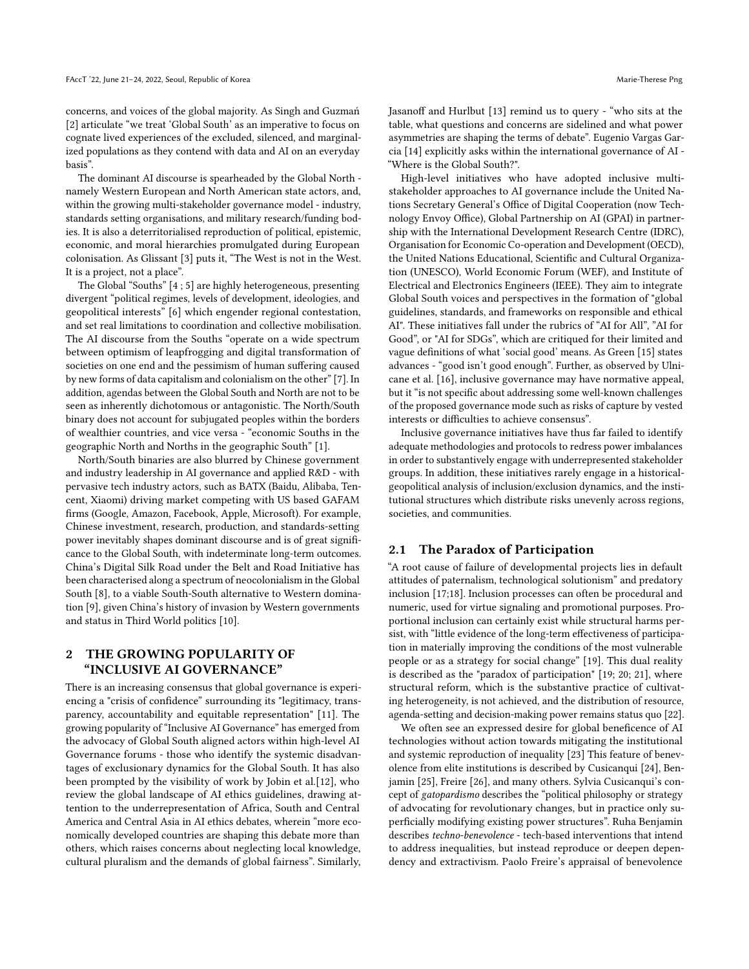concerns, and voices of the global majority. As Singh and Guzmań [\[2\]](#page-8-1) articulate "we treat 'Global South' as an imperative to focus on cognate lived experiences of the excluded, silenced, and marginalized populations as they contend with data and AI on an everyday basis".

The dominant AI discourse is spearheaded by the Global North namely Western European and North American state actors, and, within the growing multi-stakeholder governance model - industry, standards setting organisations, and military research/funding bodies. It is also a deterritorialised reproduction of political, epistemic, economic, and moral hierarchies promulgated during European colonisation. As Glissant [\[3\]](#page-9-0) puts it, "The West is not in the West. It is a project, not a place".

The Global "Souths" [\[4](#page-9-1) ; [5\]](#page-9-2) are highly heterogeneous, presenting divergent "political regimes, levels of development, ideologies, and geopolitical interests" [\[6\]](#page-9-3) which engender regional contestation, and set real limitations to coordination and collective mobilisation. The AI discourse from the Souths "operate on a wide spectrum between optimism of leapfrogging and digital transformation of societies on one end and the pessimism of human suffering caused by new forms of data capitalism and colonialism on the other" [\[7\]](#page-9-4). In addition, agendas between the Global South and North are not to be seen as inherently dichotomous or antagonistic. The North/South binary does not account for subjugated peoples within the borders of wealthier countries, and vice versa - "economic Souths in the geographic North and Norths in the geographic South" [\[1\]](#page-8-0).

North/South binaries are also blurred by Chinese government and industry leadership in AI governance and applied R&D - with pervasive tech industry actors, such as BATX (Baidu, Alibaba, Tencent, Xiaomi) driving market competing with US based GAFAM firms (Google, Amazon, Facebook, Apple, Microsoft). For example, Chinese investment, research, production, and standards-setting power inevitably shapes dominant discourse and is of great significance to the Global South, with indeterminate long-term outcomes. China's Digital Silk Road under the Belt and Road Initiative has been characterised along a spectrum of neocolonialism in the Global South [\[8\]](#page-9-5), to a viable South-South alternative to Western domination [\[9\]](#page-9-6), given China's history of invasion by Western governments and status in Third World politics [\[10\]](#page-9-7).

# 2 THE GROWING POPULARITY OF "INCLUSIVE AI GOVERNANCE"

There is an increasing consensus that global governance is experiencing a "crisis of confidence" surrounding its "legitimacy, transparency, accountability and equitable representation" [\[11\]](#page-9-8). The growing popularity of "Inclusive AI Governance" has emerged from the advocacy of Global South aligned actors within high-level AI Governance forums - those who identify the systemic disadvantages of exclusionary dynamics for the Global South. It has also been prompted by the visibility of work by Jobin et al.[\[12\]](#page-9-9), who review the global landscape of AI ethics guidelines, drawing attention to the underrepresentation of Africa, South and Central America and Central Asia in AI ethics debates, wherein "more economically developed countries are shaping this debate more than others, which raises concerns about neglecting local knowledge, cultural pluralism and the demands of global fairness". Similarly, Jasanoff and Hurlbut [\[13\]](#page-9-10) remind us to query - "who sits at the table, what questions and concerns are sidelined and what power asymmetries are shaping the terms of debate". Eugenio Vargas Garcia [\[14\]](#page-9-11) explicitly asks within the international governance of AI - "Where is the Global South?".

High-level initiatives who have adopted inclusive multistakeholder approaches to AI governance include the United Nations Secretary General's Office of Digital Cooperation (now Technology Envoy Office), Global Partnership on AI (GPAI) in partnership with the International Development Research Centre (IDRC), Organisation for Economic Co-operation and Development (OECD), the United Nations Educational, Scientific and Cultural Organization (UNESCO), World Economic Forum (WEF), and Institute of Electrical and Electronics Engineers (IEEE). They aim to integrate Global South voices and perspectives in the formation of "global guidelines, standards, and frameworks on responsible and ethical AI". These initiatives fall under the rubrics of "AI for All", "AI for Good", or "AI for SDGs", which are critiqued for their limited and vague definitions of what 'social good' means. As Green [\[15\]](#page-9-12) states advances - "good isn't good enough". Further, as observed by Ulnicane et al. [\[16\]](#page-9-13), inclusive governance may have normative appeal, but it "is not specific about addressing some well-known challenges of the proposed governance mode such as risks of capture by vested interests or difficulties to achieve consensus".

Inclusive governance initiatives have thus far failed to identify adequate methodologies and protocols to redress power imbalances in order to substantively engage with underrepresented stakeholder groups. In addition, these initiatives rarely engage in a historicalgeopolitical analysis of inclusion/exclusion dynamics, and the institutional structures which distribute risks unevenly across regions, societies, and communities.

### 2.1 The Paradox of Participation

"A root cause of failure of developmental projects lies in default attitudes of paternalism, technological solutionism" and predatory inclusion [\[17](#page-9-14)[;18\]](#page-9-15). Inclusion processes can often be procedural and numeric, used for virtue signaling and promotional purposes. Proportional inclusion can certainly exist while structural harms persist, with "little evidence of the long-term effectiveness of participation in materially improving the conditions of the most vulnerable people or as a strategy for social change" [\[19\]](#page-9-16). This dual reality is described as the "paradox of participation" [\[19;](#page-9-16) [20;](#page-9-17) [21\]](#page-9-18), where structural reform, which is the substantive practice of cultivating heterogeneity, is not achieved, and the distribution of resource, agenda-setting and decision-making power remains status quo [\[22\]](#page-9-19).

We often see an expressed desire for global beneficence of AI technologies without action towards mitigating the institutional and systemic reproduction of inequality [\[23\]](#page-9-20) This feature of benevolence from elite institutions is described by Cusicanqui [\[24\]](#page-9-21), Benjamin [\[25\]](#page-9-22), Freire [\[26\]](#page-9-23), and many others. Sylvia Cusicanqui's concept of gatopardismo describes the "political philosophy or strategy of advocating for revolutionary changes, but in practice only superficially modifying existing power structures". Ruha Benjamin describes techno-benevolence - tech-based interventions that intend to address inequalities, but instead reproduce or deepen dependency and extractivism. Paolo Freire's appraisal of benevolence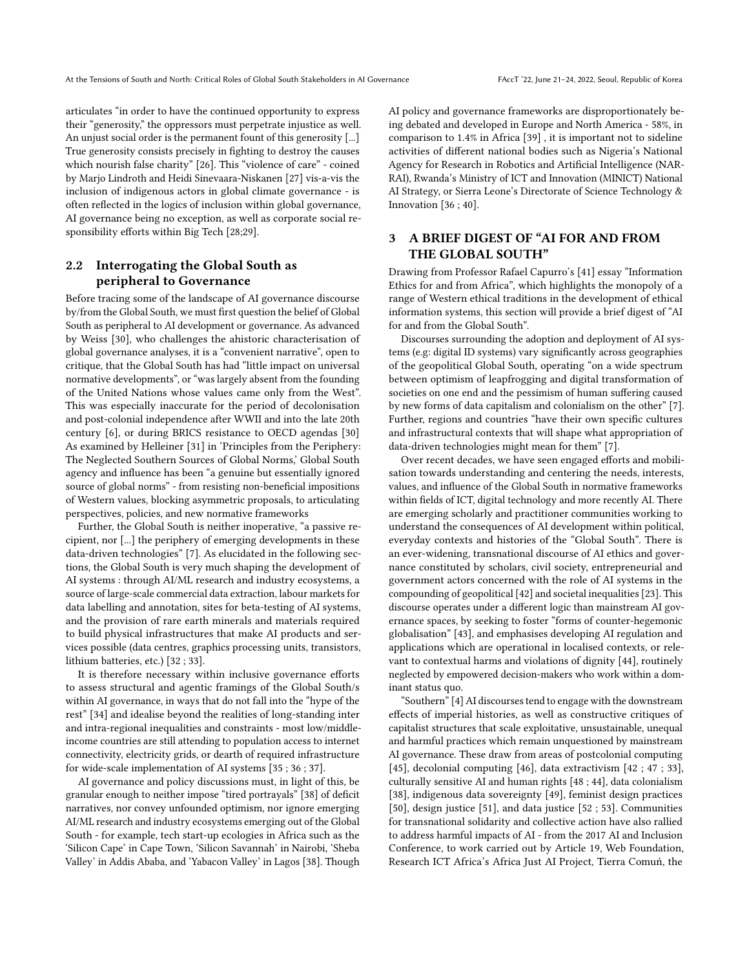articulates "in order to have the continued opportunity to express their "generosity," the oppressors must perpetrate injustice as well. An unjust social order is the permanent fount of this generosity [...] True generosity consists precisely in fighting to destroy the causes which nourish false charity" [\[26\]](#page-9-23). This "violence of care" - coined by Marjo Lindroth and Heidi Sinevaara-Niskanen [\[27\]](#page-9-24) vis-a-vis the inclusion of indigenous actors in global climate governance - is often reflected in the logics of inclusion within global governance, AI governance being no exception, as well as corporate social responsibility efforts within Big Tech [\[28](#page-9-25)[;29\]](#page-9-26).

# 2.2 Interrogating the Global South as peripheral to Governance

Before tracing some of the landscape of AI governance discourse by/from the Global South, we must first question the belief of Global South as peripheral to AI development or governance. As advanced by Weiss [\[30\]](#page-9-27), who challenges the ahistoric characterisation of global governance analyses, it is a "convenient narrative", open to critique, that the Global South has had "little impact on universal normative developments", or "was largely absent from the founding of the United Nations whose values came only from the West". This was especially inaccurate for the period of decolonisation and post-colonial independence after WWII and into the late 20th century [\[6\]](#page-9-3), or during BRICS resistance to OECD agendas [\[30\]](#page-9-27) As examined by Helleiner [\[31\]](#page-9-28) in 'Principles from the Periphery: The Neglected Southern Sources of Global Norms,' Global South agency and influence has been "a genuine but essentially ignored source of global norms" - from resisting non-beneficial impositions of Western values, blocking asymmetric proposals, to articulating perspectives, policies, and new normative frameworks

Further, the Global South is neither inoperative, "a passive recipient, nor [...] the periphery of emerging developments in these data-driven technologies" [\[7\]](#page-9-4). As elucidated in the following sections, the Global South is very much shaping the development of AI systems : through AI/ML research and industry ecosystems, a source of large-scale commercial data extraction, labour markets for data labelling and annotation, sites for beta-testing of AI systems, and the provision of rare earth minerals and materials required to build physical infrastructures that make AI products and services possible (data centres, graphics processing units, transistors, lithium batteries, etc.) [\[32](#page-9-29) ; [33\]](#page-9-30).

It is therefore necessary within inclusive governance efforts to assess structural and agentic framings of the Global South/s within AI governance, in ways that do not fall into the "hype of the rest" [\[34\]](#page-9-31) and idealise beyond the realities of long-standing inter and intra-regional inequalities and constraints - most low/middleincome countries are still attending to population access to internet connectivity, electricity grids, or dearth of required infrastructure for wide-scale implementation of AI systems [\[35](#page-9-32) ; [36](#page-9-33) ; [37\]](#page-9-34).

AI governance and policy discussions must, in light of this, be granular enough to neither impose "tired portrayals" [\[38\]](#page-9-35) of deficit narratives, nor convey unfounded optimism, nor ignore emerging AI/ML research and industry ecosystems emerging out of the Global South - for example, tech start-up ecologies in Africa such as the 'Silicon Cape' in Cape Town, 'Silicon Savannah' in Nairobi, 'Sheba Valley' in Addis Ababa, and 'Yabacon Valley' in Lagos [\[38\]](#page-9-35). Though AI policy and governance frameworks are disproportionately being debated and developed in Europe and North America - 58%, in comparison to 1.4% in Africa [\[39\]](#page-9-36) , it is important not to sideline activities of different national bodies such as Nigeria's National Agency for Research in Robotics and Artificial Intelligence (NAR-RAI), Rwanda's Ministry of ICT and Innovation (MINICT) National AI Strategy, or Sierra Leone's Directorate of Science Technology & Innovation [\[36](#page-9-33) ; [40\]](#page-9-37).

# 3 A BRIEF DIGEST OF "AI FOR AND FROM THE GLOBAL SOUTH"

Drawing from Professor Rafael Capurro's [\[41\]](#page-9-38) essay "Information Ethics for and from Africa", which highlights the monopoly of a range of Western ethical traditions in the development of ethical information systems, this section will provide a brief digest of "AI for and from the Global South".

Discourses surrounding the adoption and deployment of AI systems (e.g: digital ID systems) vary significantly across geographies of the geopolitical Global South, operating "on a wide spectrum between optimism of leapfrogging and digital transformation of societies on one end and the pessimism of human suffering caused by new forms of data capitalism and colonialism on the other" [\[7\]](#page-9-4). Further, regions and countries "have their own specific cultures and infrastructural contexts that will shape what appropriation of data-driven technologies might mean for them" [\[7\]](#page-9-4).

Over recent decades, we have seen engaged efforts and mobilisation towards understanding and centering the needs, interests, values, and influence of the Global South in normative frameworks within fields of ICT, digital technology and more recently AI. There are emerging scholarly and practitioner communities working to understand the consequences of AI development within political, everyday contexts and histories of the "Global South". There is an ever-widening, transnational discourse of AI ethics and governance constituted by scholars, civil society, entrepreneurial and government actors concerned with the role of AI systems in the compounding of geopolitical [\[42\]](#page-9-39) and societal inequalities [\[23\]](#page-9-20). This discourse operates under a different logic than mainstream AI governance spaces, by seeking to foster "forms of counter-hegemonic globalisation" [\[43\]](#page-9-40), and emphasises developing AI regulation and applications which are operational in localised contexts, or relevant to contextual harms and violations of dignity [\[44\]](#page-9-41), routinely neglected by empowered decision-makers who work within a dominant status quo.

"Southern" [\[4\]](#page-9-1) AI discourses tend to engage with the downstream effects of imperial histories, as well as constructive critiques of capitalist structures that scale exploitative, unsustainable, unequal and harmful practices which remain unquestioned by mainstream AI governance. These draw from areas of postcolonial computing [\[45\]](#page-9-42), decolonial computing [\[46\]](#page-9-43), data extractivism [\[42](#page-9-39) ; [47](#page-9-44) ; [33\]](#page-9-30), culturally sensitive AI and human rights [\[48](#page-9-45) ; [44\]](#page-9-41), data colonialism [\[38\]](#page-9-35), indigenous data sovereignty [\[49\]](#page-9-46), feminist design practices [\[50\]](#page-9-47), design justice [\[51\]](#page-9-48), and data justice [\[52](#page-9-49) ; [53\]](#page-9-50). Communities for transnational solidarity and collective action have also rallied to address harmful impacts of AI - from the 2017 AI and Inclusion Conference, to work carried out by Article 19, Web Foundation, Research ICT Africa's Africa Just AI Project, Tierra Comuń, the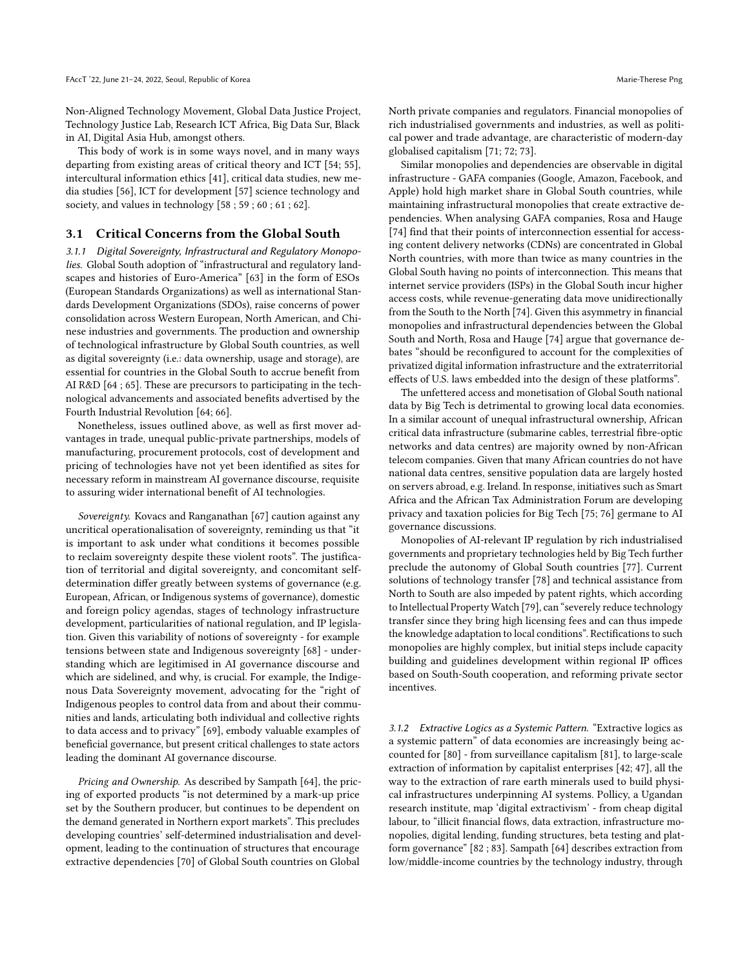Non-Aligned Technology Movement, Global Data Justice Project, Technology Justice Lab, Research ICT Africa, Big Data Sur, Black in AI, Digital Asia Hub, amongst others.

This body of work is in some ways novel, and in many ways departing from existing areas of critical theory and ICT [\[54;](#page-9-51) [55\]](#page-9-52), intercultural information ethics [\[41\]](#page-9-38), critical data studies, new media studies [\[56\]](#page-9-53), ICT for development [\[57\]](#page-9-54) science technology and society, and values in technology [\[58](#page-9-55) ; [59](#page-9-56) ; [60](#page-9-57) ; [61](#page-10-0) ; [62\]](#page-10-1).

#### 3.1 Critical Concerns from the Global South

3.1.1 Digital Sovereignty, Infrastructural and Regulatory Monopolies. Global South adoption of "infrastructural and regulatory landscapes and histories of Euro-America" [\[63\]](#page-10-2) in the form of ESOs (European Standards Organizations) as well as international Standards Development Organizations (SDOs), raise concerns of power consolidation across Western European, North American, and Chinese industries and governments. The production and ownership of technological infrastructure by Global South countries, as well as digital sovereignty (i.e.: data ownership, usage and storage), are essential for countries in the Global South to accrue benefit from AI R&D [\[64](#page-10-3) ; [65\]](#page-10-4). These are precursors to participating in the technological advancements and associated benefits advertised by the Fourth Industrial Revolution [\[64;](#page-10-3) [66\]](#page-10-5).

Nonetheless, issues outlined above, as well as first mover advantages in trade, unequal public-private partnerships, models of manufacturing, procurement protocols, cost of development and pricing of technologies have not yet been identified as sites for necessary reform in mainstream AI governance discourse, requisite to assuring wider international benefit of AI technologies.

Sovereignty. Kovacs and Ranganathan [\[67\]](#page-10-6) caution against any uncritical operationalisation of sovereignty, reminding us that "it is important to ask under what conditions it becomes possible to reclaim sovereignty despite these violent roots". The justification of territorial and digital sovereignty, and concomitant selfdetermination differ greatly between systems of governance (e.g. European, African, or Indigenous systems of governance), domestic and foreign policy agendas, stages of technology infrastructure development, particularities of national regulation, and IP legislation. Given this variability of notions of sovereignty - for example tensions between state and Indigenous sovereignty [\[68\]](#page-10-7) - understanding which are legitimised in AI governance discourse and which are sidelined, and why, is crucial. For example, the Indigenous Data Sovereignty movement, advocating for the "right of Indigenous peoples to control data from and about their communities and lands, articulating both individual and collective rights to data access and to privacy" [\[69\]](#page-10-8), embody valuable examples of beneficial governance, but present critical challenges to state actors leading the dominant AI governance discourse.

Pricing and Ownership. As described by Sampath [\[64\]](#page-10-3), the pricing of exported products "is not determined by a mark-up price set by the Southern producer, but continues to be dependent on the demand generated in Northern export markets". This precludes developing countries' self-determined industrialisation and development, leading to the continuation of structures that encourage extractive dependencies [\[70\]](#page-10-9) of Global South countries on Global

North private companies and regulators. Financial monopolies of rich industrialised governments and industries, as well as political power and trade advantage, are characteristic of modern-day globalised capitalism [\[71;](#page-10-10) [72;](#page-10-11) [73\]](#page-10-12).

Similar monopolies and dependencies are observable in digital infrastructure - GAFA companies (Google, Amazon, Facebook, and Apple) hold high market share in Global South countries, while maintaining infrastructural monopolies that create extractive dependencies. When analysing GAFA companies, Rosa and Hauge [\[74\]](#page-10-13) find that their points of interconnection essential for accessing content delivery networks (CDNs) are concentrated in Global North countries, with more than twice as many countries in the Global South having no points of interconnection. This means that internet service providers (ISPs) in the Global South incur higher access costs, while revenue-generating data move unidirectionally from the South to the North [\[74\]](#page-10-13). Given this asymmetry in financial monopolies and infrastructural dependencies between the Global South and North, Rosa and Hauge [\[74\]](#page-10-13) argue that governance debates "should be reconfigured to account for the complexities of privatized digital information infrastructure and the extraterritorial effects of U.S. laws embedded into the design of these platforms".

The unfettered access and monetisation of Global South national data by Big Tech is detrimental to growing local data economies. In a similar account of unequal infrastructural ownership, African critical data infrastructure (submarine cables, terrestrial fibre-optic networks and data centres) are majority owned by non-African telecom companies. Given that many African countries do not have national data centres, sensitive population data are largely hosted on servers abroad, e.g. Ireland. In response, initiatives such as Smart Africa and the African Tax Administration Forum are developing privacy and taxation policies for Big Tech [\[75;](#page-10-14) [76\]](#page-10-15) germane to AI governance discussions.

Monopolies of AI-relevant IP regulation by rich industrialised governments and proprietary technologies held by Big Tech further preclude the autonomy of Global South countries [\[77\]](#page-10-16). Current solutions of technology transfer [\[78\]](#page-10-17) and technical assistance from North to South are also impeded by patent rights, which according to Intellectual Property Watch [\[79\]](#page-10-18), can "severely reduce technology transfer since they bring high licensing fees and can thus impede the knowledge adaptation to local conditions". Rectifications to such monopolies are highly complex, but initial steps include capacity building and guidelines development within regional IP offices based on South-South cooperation, and reforming private sector incentives.

3.1.2 Extractive Logics as a Systemic Pattern. "Extractive logics as a systemic pattern" of data economies are increasingly being accounted for [\[80\]](#page-10-19) - from surveillance capitalism [\[81\]](#page-10-20), to large-scale extraction of information by capitalist enterprises [\[42;](#page-9-39) [47\]](#page-9-44), all the way to the extraction of rare earth minerals used to build physical infrastructures underpinning AI systems. Pollicy, a Ugandan research institute, map 'digital extractivism' - from cheap digital labour, to "illicit financial flows, data extraction, infrastructure monopolies, digital lending, funding structures, beta testing and platform governance" [\[82](#page-10-21) ; [83\]](#page-10-22). Sampath [\[64\]](#page-10-3) describes extraction from low/middle-income countries by the technology industry, through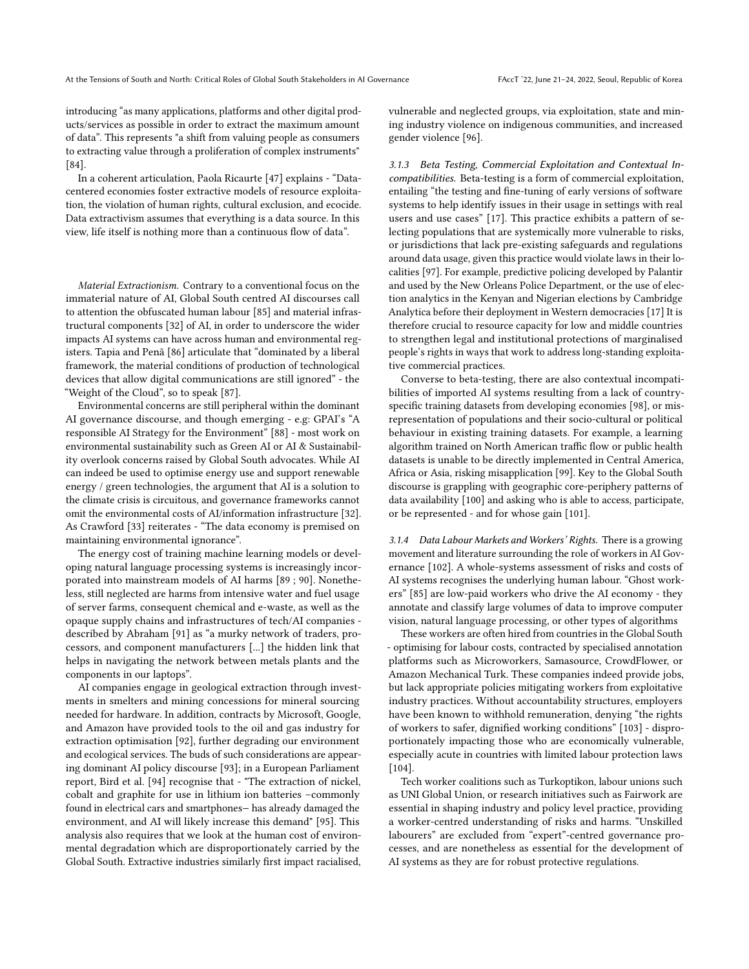introducing "as many applications, platforms and other digital products/services as possible in order to extract the maximum amount of data". This represents "a shift from valuing people as consumers to extracting value through a proliferation of complex instruments" [\[84\]](#page-10-23).

In a coherent articulation, Paola Ricaurte [\[47\]](#page-9-44) explains - "Datacentered economies foster extractive models of resource exploitation, the violation of human rights, cultural exclusion, and ecocide. Data extractivism assumes that everything is a data source. In this view, life itself is nothing more than a continuous flow of data".

Material Extractionism. Contrary to a conventional focus on the immaterial nature of AI, Global South centred AI discourses call to attention the obfuscated human labour [\[85\]](#page-10-24) and material infrastructural components [\[32\]](#page-9-29) of AI, in order to underscore the wider impacts AI systems can have across human and environmental registers. Tapia and Penã [\[86\]](#page-10-25) articulate that "dominated by a liberal framework, the material conditions of production of technological devices that allow digital communications are still ignored" - the "Weight of the Cloud", so to speak [\[87\]](#page-10-26).

Environmental concerns are still peripheral within the dominant AI governance discourse, and though emerging - e.g: GPAI's "A responsible AI Strategy for the Environment" [\[88\]](#page-10-27) - most work on environmental sustainability such as Green AI or AI & Sustainability overlook concerns raised by Global South advocates. While AI can indeed be used to optimise energy use and support renewable energy / green technologies, the argument that AI is a solution to the climate crisis is circuitous, and governance frameworks cannot omit the environmental costs of AI/information infrastructure [\[32\]](#page-9-29). As Crawford [\[33\]](#page-9-30) reiterates - "The data economy is premised on maintaining environmental ignorance".

The energy cost of training machine learning models or developing natural language processing systems is increasingly incorporated into mainstream models of AI harms [\[89](#page-10-28) ; [90\]](#page-10-29). Nonetheless, still neglected are harms from intensive water and fuel usage of server farms, consequent chemical and e-waste, as well as the opaque supply chains and infrastructures of tech/AI companies described by Abraham [\[91\]](#page-10-30) as "a murky network of traders, processors, and component manufacturers [...] the hidden link that helps in navigating the network between metals plants and the components in our laptops".

AI companies engage in geological extraction through investments in smelters and mining concessions for mineral sourcing needed for hardware. In addition, contracts by Microsoft, Google, and Amazon have provided tools to the oil and gas industry for extraction optimisation [\[92\]](#page-10-31), further degrading our environment and ecological services. The buds of such considerations are appearing dominant AI policy discourse [\[93\]](#page-10-32); in a European Parliament report, Bird et al. [\[94\]](#page-10-33) recognise that - "The extraction of nickel, cobalt and graphite for use in lithium ion batteries –commonly found in electrical cars and smartphones− has already damaged the environment, and AI will likely increase this demand" [\[95\]](#page-10-34). This analysis also requires that we look at the human cost of environmental degradation which are disproportionately carried by the Global South. Extractive industries similarly first impact racialised,

vulnerable and neglected groups, via exploitation, state and mining industry violence on indigenous communities, and increased gender violence [\[96\]](#page-10-35).

3.1.3 Beta Testing, Commercial Exploitation and Contextual Incompatibilities. Beta-testing is a form of commercial exploitation, entailing "the testing and fine-tuning of early versions of software systems to help identify issues in their usage in settings with real users and use cases" [\[17\]](#page-9-14). This practice exhibits a pattern of selecting populations that are systemically more vulnerable to risks, or jurisdictions that lack pre-existing safeguards and regulations around data usage, given this practice would violate laws in their localities [\[97\]](#page-10-36). For example, predictive policing developed by Palantir and used by the New Orleans Police Department, or the use of election analytics in the Kenyan and Nigerian elections by Cambridge Analytica before their deployment in Western democracies [\[17\]](#page-9-14) It is therefore crucial to resource capacity for low and middle countries to strengthen legal and institutional protections of marginalised people's rights in ways that work to address long-standing exploitative commercial practices.

Converse to beta-testing, there are also contextual incompatibilities of imported AI systems resulting from a lack of countryspecific training datasets from developing economies [\[98\]](#page-10-37), or misrepresentation of populations and their socio-cultural or political behaviour in existing training datasets. For example, a learning algorithm trained on North American traffic flow or public health datasets is unable to be directly implemented in Central America, Africa or Asia, risking misapplication [\[99\]](#page-10-38). Key to the Global South discourse is grappling with geographic core-periphery patterns of data availability [\[100\]](#page-10-39) and asking who is able to access, participate, or be represented - and for whose gain [\[101\]](#page-10-40).

3.1.4 Data Labour Markets and Workers' Rights. There is a growing movement and literature surrounding the role of workers in AI Governance [\[102\]](#page-10-41). A whole-systems assessment of risks and costs of AI systems recognises the underlying human labour. "Ghost workers" [\[85\]](#page-10-24) are low-paid workers who drive the AI economy - they annotate and classify large volumes of data to improve computer vision, natural language processing, or other types of algorithms

These workers are often hired from countries in the Global South - optimising for labour costs, contracted by specialised annotation platforms such as Microworkers, Samasource, CrowdFlower, or Amazon Mechanical Turk. These companies indeed provide jobs, but lack appropriate policies mitigating workers from exploitative industry practices. Without accountability structures, employers have been known to withhold remuneration, denying "the rights of workers to safer, dignified working conditions" [\[103\]](#page-10-42) - disproportionately impacting those who are economically vulnerable, especially acute in countries with limited labour protection laws [\[104\]](#page-10-43).

Tech worker coalitions such as Turkoptikon, labour unions such as UNI Global Union, or research initiatives such as Fairwork are essential in shaping industry and policy level practice, providing a worker-centred understanding of risks and harms. "Unskilled labourers" are excluded from "expert"-centred governance processes, and are nonetheless as essential for the development of AI systems as they are for robust protective regulations.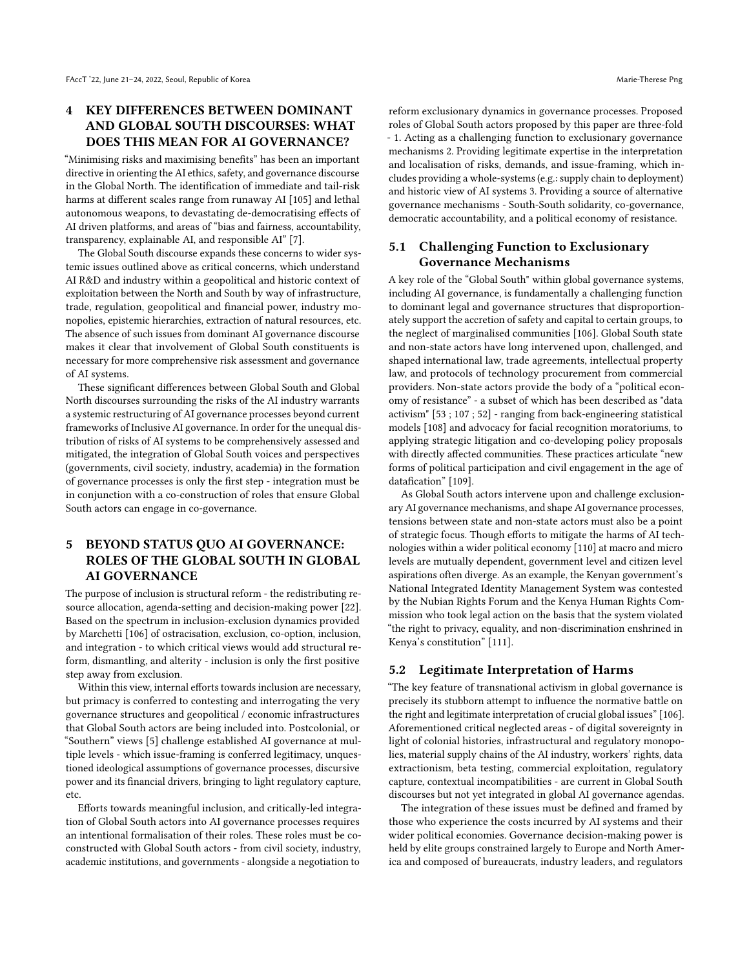# 4 KEY DIFFERENCES BETWEEN DOMINANT AND GLOBAL SOUTH DISCOURSES: WHAT DOES THIS MEAN FOR AI GOVERNANCE?

"Minimising risks and maximising benefits" has been an important directive in orienting the AI ethics, safety, and governance discourse in the Global North. The identification of immediate and tail-risk harms at different scales range from runaway AI [\[105\]](#page-10-44) and lethal autonomous weapons, to devastating de-democratising effects of AI driven platforms, and areas of "bias and fairness, accountability, transparency, explainable AI, and responsible AI" [\[7\]](#page-9-4).

The Global South discourse expands these concerns to wider systemic issues outlined above as critical concerns, which understand AI R&D and industry within a geopolitical and historic context of exploitation between the North and South by way of infrastructure, trade, regulation, geopolitical and financial power, industry monopolies, epistemic hierarchies, extraction of natural resources, etc. The absence of such issues from dominant AI governance discourse makes it clear that involvement of Global South constituents is necessary for more comprehensive risk assessment and governance of AI systems.

These significant differences between Global South and Global North discourses surrounding the risks of the AI industry warrants a systemic restructuring of AI governance processes beyond current frameworks of Inclusive AI governance. In order for the unequal distribution of risks of AI systems to be comprehensively assessed and mitigated, the integration of Global South voices and perspectives (governments, civil society, industry, academia) in the formation of governance processes is only the first step - integration must be in conjunction with a co-construction of roles that ensure Global South actors can engage in co-governance.

# 5 BEYOND STATUS QUO AI GOVERNANCE: ROLES OF THE GLOBAL SOUTH IN GLOBAL AI GOVERNANCE

The purpose of inclusion is structural reform - the redistributing resource allocation, agenda-setting and decision-making power [\[22\]](#page-9-19). Based on the spectrum in inclusion-exclusion dynamics provided by Marchetti [\[106\]](#page-10-45) of ostracisation, exclusion, co-option, inclusion, and integration - to which critical views would add structural reform, dismantling, and alterity - inclusion is only the first positive step away from exclusion.

Within this view, internal efforts towards inclusion are necessary, but primacy is conferred to contesting and interrogating the very governance structures and geopolitical / economic infrastructures that Global South actors are being included into. Postcolonial, or "Southern" views [\[5\]](#page-9-2) challenge established AI governance at multiple levels - which issue-framing is conferred legitimacy, unquestioned ideological assumptions of governance processes, discursive power and its financial drivers, bringing to light regulatory capture, etc.

Efforts towards meaningful inclusion, and critically-led integration of Global South actors into AI governance processes requires an intentional formalisation of their roles. These roles must be coconstructed with Global South actors - from civil society, industry, academic institutions, and governments - alongside a negotiation to

reform exclusionary dynamics in governance processes. Proposed roles of Global South actors proposed by this paper are three-fold - 1. Acting as a challenging function to exclusionary governance mechanisms 2. Providing legitimate expertise in the interpretation and localisation of risks, demands, and issue-framing, which includes providing a whole-systems (e.g.: supply chain to deployment) and historic view of AI systems 3. Providing a source of alternative governance mechanisms - South-South solidarity, co-governance, democratic accountability, and a political economy of resistance.

# 5.1 Challenging Function to Exclusionary Governance Mechanisms

A key role of the "Global South" within global governance systems, including AI governance, is fundamentally a challenging function to dominant legal and governance structures that disproportionately support the accretion of safety and capital to certain groups, to the neglect of marginalised communities [\[106\]](#page-10-45). Global South state and non-state actors have long intervened upon, challenged, and shaped international law, trade agreements, intellectual property law, and protocols of technology procurement from commercial providers. Non-state actors provide the body of a "political economy of resistance" - a subset of which has been described as "data activism" [\[53](#page-9-50) ; [107](#page-10-46) ; [52\]](#page-9-49) - ranging from back-engineering statistical models [\[108\]](#page-10-47) and advocacy for facial recognition moratoriums, to applying strategic litigation and co-developing policy proposals with directly affected communities. These practices articulate "new forms of political participation and civil engagement in the age of datafication" [\[109\]](#page-10-48).

As Global South actors intervene upon and challenge exclusionary AI governance mechanisms, and shape AI governance processes, tensions between state and non-state actors must also be a point of strategic focus. Though efforts to mitigate the harms of AI technologies within a wider political economy [\[110\]](#page-10-49) at macro and micro levels are mutually dependent, government level and citizen level aspirations often diverge. As an example, the Kenyan government's National Integrated Identity Management System was contested by the Nubian Rights Forum and the Kenya Human Rights Commission who took legal action on the basis that the system violated "the right to privacy, equality, and non-discrimination enshrined in Kenya's constitution" [\[111\]](#page-11-1).

### 5.2 Legitimate Interpretation of Harms

"The key feature of transnational activism in global governance is precisely its stubborn attempt to influence the normative battle on the right and legitimate interpretation of crucial global issues" [\[106\]](#page-10-45). Aforementioned critical neglected areas - of digital sovereignty in light of colonial histories, infrastructural and regulatory monopolies, material supply chains of the AI industry, workers' rights, data extractionism, beta testing, commercial exploitation, regulatory capture, contextual incompatibilities - are current in Global South discourses but not yet integrated in global AI governance agendas.

The integration of these issues must be defined and framed by those who experience the costs incurred by AI systems and their wider political economies. Governance decision-making power is held by elite groups constrained largely to Europe and North America and composed of bureaucrats, industry leaders, and regulators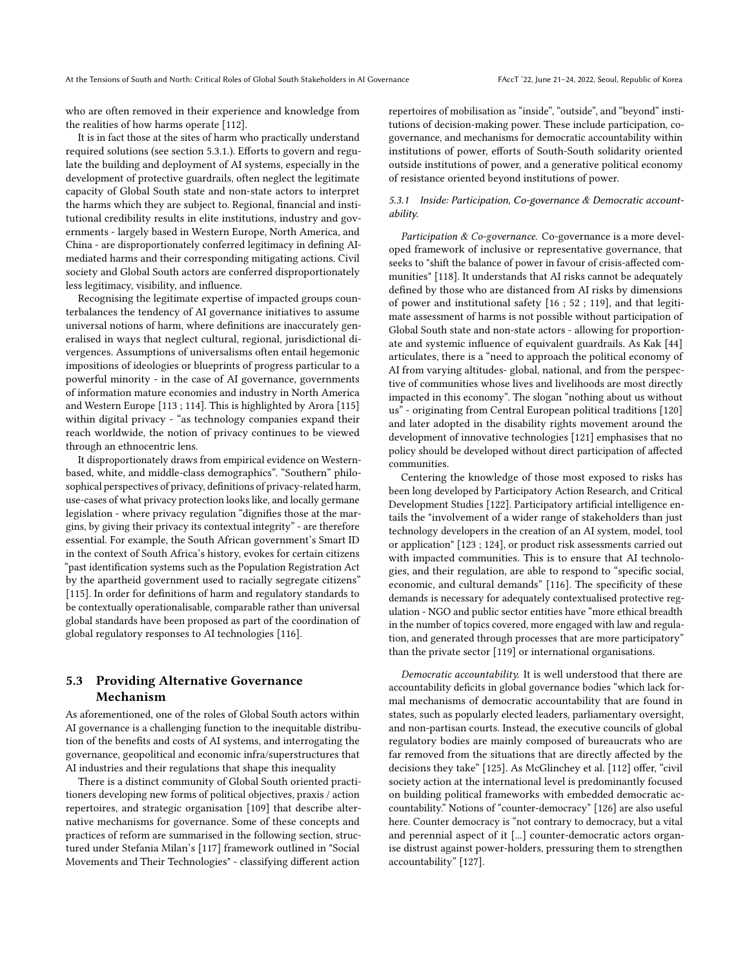who are often removed in their experience and knowledge from the realities of how harms operate [\[112\]](#page-11-2).

It is in fact those at the sites of harm who practically understand required solutions (see section 5.3.1.). Efforts to govern and regulate the building and deployment of AI systems, especially in the development of protective guardrails, often neglect the legitimate capacity of Global South state and non-state actors to interpret the harms which they are subject to. Regional, financial and institutional credibility results in elite institutions, industry and governments - largely based in Western Europe, North America, and China - are disproportionately conferred legitimacy in defining AImediated harms and their corresponding mitigating actions. Civil society and Global South actors are conferred disproportionately less legitimacy, visibility, and influence.

Recognising the legitimate expertise of impacted groups counterbalances the tendency of AI governance initiatives to assume universal notions of harm, where definitions are inaccurately generalised in ways that neglect cultural, regional, jurisdictional divergences. Assumptions of universalisms often entail hegemonic impositions of ideologies or blueprints of progress particular to a powerful minority - in the case of AI governance, governments of information mature economies and industry in North America and Western Europe [\[113](#page-11-3) ; [114\]](#page-11-4). This is highlighted by Arora [\[115\]](#page-11-5) within digital privacy - "as technology companies expand their reach worldwide, the notion of privacy continues to be viewed through an ethnocentric lens.

It disproportionately draws from empirical evidence on Westernbased, white, and middle-class demographics". "Southern" philosophical perspectives of privacy, definitions of privacy-related harm, use-cases of what privacy protection looks like, and locally germane legislation - where privacy regulation "dignifies those at the margins, by giving their privacy its contextual integrity" - are therefore essential. For example, the South African government's Smart ID in the context of South Africa's history, evokes for certain citizens "past identification systems such as the Population Registration Act by the apartheid government used to racially segregate citizens" [\[115\]](#page-11-5). In order for definitions of harm and regulatory standards to be contextually operationalisable, comparable rather than universal global standards have been proposed as part of the coordination of global regulatory responses to AI technologies [\[116\]](#page-11-6).

# 5.3 Providing Alternative Governance Mechanism

As aforementioned, one of the roles of Global South actors within AI governance is a challenging function to the inequitable distribution of the benefits and costs of AI systems, and interrogating the governance, geopolitical and economic infra/superstructures that AI industries and their regulations that shape this inequality

There is a distinct community of Global South oriented practitioners developing new forms of political objectives, praxis / action repertoires, and strategic organisation [\[109\]](#page-10-48) that describe alternative mechanisms for governance. Some of these concepts and practices of reform are summarised in the following section, structured under Stefania Milan's [\[117\]](#page-11-7) framework outlined in "Social Movements and Their Technologies" - classifying different action

repertoires of mobilisation as "inside", "outside", and "beyond" institutions of decision-making power. These include participation, cogovernance, and mechanisms for democratic accountability within institutions of power, efforts of South-South solidarity oriented outside institutions of power, and a generative political economy of resistance oriented beyond institutions of power.

#### 5.3.1 Inside: Participation, Co-governance & Democratic accountability.

Participation & Co-governance. Co-governance is a more developed framework of inclusive or representative governance, that seeks to "shift the balance of power in favour of crisis-affected communities" [\[118\]](#page-11-8). It understands that AI risks cannot be adequately defined by those who are distanced from AI risks by dimensions of power and institutional safety [\[16](#page-9-13) ; [52](#page-9-49) ; [119\]](#page-11-9), and that legitimate assessment of harms is not possible without participation of Global South state and non-state actors - allowing for proportionate and systemic influence of equivalent guardrails. As Kak [\[44\]](#page-9-41) articulates, there is a "need to approach the political economy of AI from varying altitudes- global, national, and from the perspective of communities whose lives and livelihoods are most directly impacted in this economy". The slogan "nothing about us without us" - originating from Central European political traditions [\[120\]](#page-11-10) and later adopted in the disability rights movement around the development of innovative technologies [\[121\]](#page-11-11) emphasises that no policy should be developed without direct participation of affected communities.

Centering the knowledge of those most exposed to risks has been long developed by Participatory Action Research, and Critical Development Studies [\[122\]](#page-11-12). Participatory artificial intelligence entails the "involvement of a wider range of stakeholders than just technology developers in the creation of an AI system, model, tool or application" [\[123](#page-11-13) ; [124\]](#page-11-14), or product risk assessments carried out with impacted communities. This is to ensure that AI technologies, and their regulation, are able to respond to "specific social, economic, and cultural demands" [\[116\]](#page-11-6). The specificity of these demands is necessary for adequately contextualised protective regulation - NGO and public sector entities have "more ethical breadth in the number of topics covered, more engaged with law and regulation, and generated through processes that are more participatory" than the private sector [\[119\]](#page-11-9) or international organisations.

Democratic accountability. It is well understood that there are accountability deficits in global governance bodies "which lack formal mechanisms of democratic accountability that are found in states, such as popularly elected leaders, parliamentary oversight, and non-partisan courts. Instead, the executive councils of global regulatory bodies are mainly composed of bureaucrats who are far removed from the situations that are directly affected by the decisions they take" [\[125\]](#page-11-15). As McGlinchey et al. [\[112\]](#page-11-2) offer, "civil society action at the international level is predominantly focused on building political frameworks with embedded democratic accountability." Notions of "counter-democracy" [\[126\]](#page-11-16) are also useful here. Counter democracy is "not contrary to democracy, but a vital and perennial aspect of it [...] counter-democratic actors organise distrust against power-holders, pressuring them to strengthen accountability" [\[127\]](#page-11-17).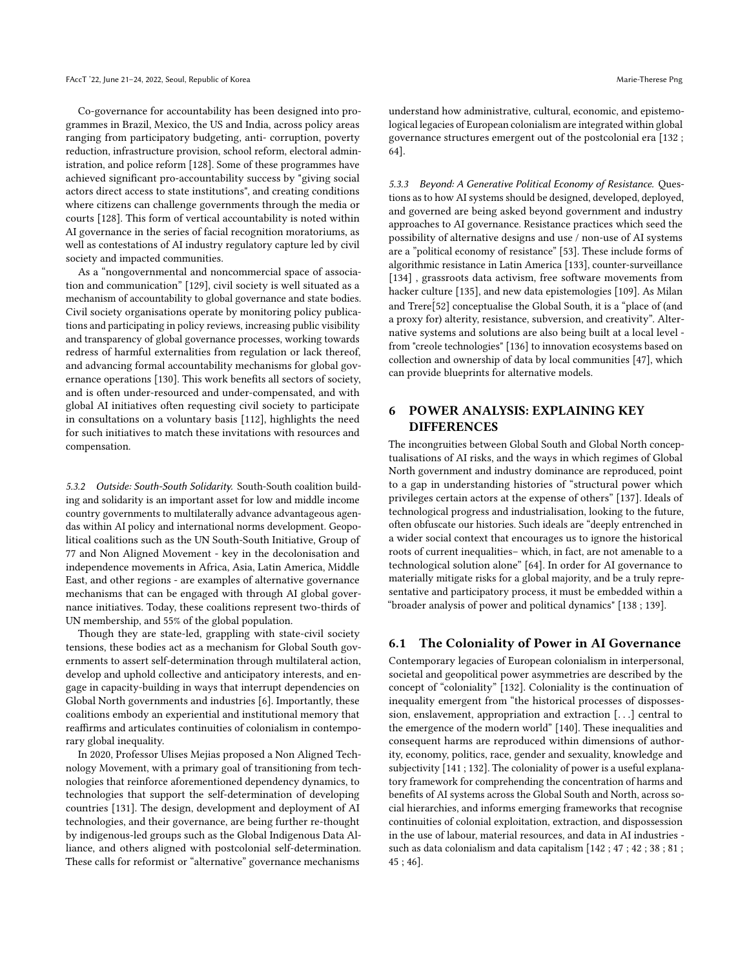Co-governance for accountability has been designed into programmes in Brazil, Mexico, the US and India, across policy areas ranging from participatory budgeting, anti- corruption, poverty reduction, infrastructure provision, school reform, electoral administration, and police reform [\[128\]](#page-11-18). Some of these programmes have achieved significant pro-accountability success by "giving social actors direct access to state institutions", and creating conditions where citizens can challenge governments through the media or courts [\[128\]](#page-11-18). This form of vertical accountability is noted within AI governance in the series of facial recognition moratoriums, as well as contestations of AI industry regulatory capture led by civil society and impacted communities.

As a "nongovernmental and noncommercial space of association and communication" [\[129\]](#page-11-19), civil society is well situated as a mechanism of accountability to global governance and state bodies. Civil society organisations operate by monitoring policy publications and participating in policy reviews, increasing public visibility and transparency of global governance processes, working towards redress of harmful externalities from regulation or lack thereof, and advancing formal accountability mechanisms for global governance operations [\[130\]](#page-11-20). This work benefits all sectors of society, and is often under-resourced and under-compensated, and with global AI initiatives often requesting civil society to participate in consultations on a voluntary basis [\[112\]](#page-11-2), highlights the need for such initiatives to match these invitations with resources and compensation.

5.3.2 Outside: South-South Solidarity. South-South coalition building and solidarity is an important asset for low and middle income country governments to multilaterally advance advantageous agendas within AI policy and international norms development. Geopolitical coalitions such as the UN South-South Initiative, Group of 77 and Non Aligned Movement - key in the decolonisation and independence movements in Africa, Asia, Latin America, Middle East, and other regions - are examples of alternative governance mechanisms that can be engaged with through AI global governance initiatives. Today, these coalitions represent two-thirds of UN membership, and 55% of the global population.

Though they are state-led, grappling with state-civil society tensions, these bodies act as a mechanism for Global South governments to assert self-determination through multilateral action, develop and uphold collective and anticipatory interests, and engage in capacity-building in ways that interrupt dependencies on Global North governments and industries [\[6\]](#page-9-3). Importantly, these coalitions embody an experiential and institutional memory that reaffirms and articulates continuities of colonialism in contemporary global inequality.

In 2020, Professor Ulises Mejias proposed a Non Aligned Technology Movement, with a primary goal of transitioning from technologies that reinforce aforementioned dependency dynamics, to technologies that support the self-determination of developing countries [\[131\]](#page-11-21). The design, development and deployment of AI technologies, and their governance, are being further re-thought by indigenous-led groups such as the Global Indigenous Data Alliance, and others aligned with postcolonial self-determination. These calls for reformist or "alternative" governance mechanisms

understand how administrative, cultural, economic, and epistemological legacies of European colonialism are integrated within global governance structures emergent out of the postcolonial era [\[132](#page-11-22) ; [64\]](#page-10-3).

5.3.3 Beyond: A Generative Political Economy of Resistance. Questions as to how AI systems should be designed, developed, deployed, and governed are being asked beyond government and industry approaches to AI governance. Resistance practices which seed the possibility of alternative designs and use / non-use of AI systems are a "political economy of resistance" [\[53\]](#page-9-50). These include forms of algorithmic resistance in Latin America [\[133\]](#page-11-23), counter-surveillance [\[134\]](#page-11-24), grassroots data activism, free software movements from hacker culture [\[135\]](#page-11-25), and new data epistemologies [\[109\]](#page-10-48). As Milan and Trere[\[52\]](#page-9-49) conceptualise the Global South, it is a "place of (and a proxy for) alterity, resistance, subversion, and creativity". Alternative systems and solutions are also being built at a local level from "creole technologies" [\[136\]](#page-11-26) to innovation ecosystems based on collection and ownership of data by local communities [\[47\]](#page-9-44), which can provide blueprints for alternative models.

# 6 POWER ANALYSIS: EXPLAINING KEY **DIFFERENCES**

The incongruities between Global South and Global North conceptualisations of AI risks, and the ways in which regimes of Global North government and industry dominance are reproduced, point to a gap in understanding histories of "structural power which privileges certain actors at the expense of others" [\[137\]](#page-11-27). Ideals of technological progress and industrialisation, looking to the future, often obfuscate our histories. Such ideals are "deeply entrenched in a wider social context that encourages us to ignore the historical roots of current inequalities– which, in fact, are not amenable to a technological solution alone" [\[64\]](#page-10-3). In order for AI governance to materially mitigate risks for a global majority, and be a truly representative and participatory process, it must be embedded within a "broader analysis of power and political dynamics" [\[138](#page-11-28) ; [139\]](#page-11-29).

### 6.1 The Coloniality of Power in AI Governance

Contemporary legacies of European colonialism in interpersonal, societal and geopolitical power asymmetries are described by the concept of "coloniality" [\[132\]](#page-11-22). Coloniality is the continuation of inequality emergent from "the historical processes of dispossession, enslavement, appropriation and extraction [. . .] central to the emergence of the modern world" [\[140\]](#page-11-30). These inequalities and consequent harms are reproduced within dimensions of authority, economy, politics, race, gender and sexuality, knowledge and subjectivity [\[141](#page-11-31) ; [132\]](#page-11-22). The coloniality of power is a useful explanatory framework for comprehending the concentration of harms and benefits of AI systems across the Global South and North, across social hierarchies, and informs emerging frameworks that recognise continuities of colonial exploitation, extraction, and dispossession in the use of labour, material resources, and data in AI industries such as data colonialism and data capitalism [\[142](#page-11-32) ; [47](#page-9-44) ; [42](#page-9-39) ; [38](#page-9-35) ; [81](#page-10-20) ; [45](#page-9-42) ; [46\]](#page-9-43).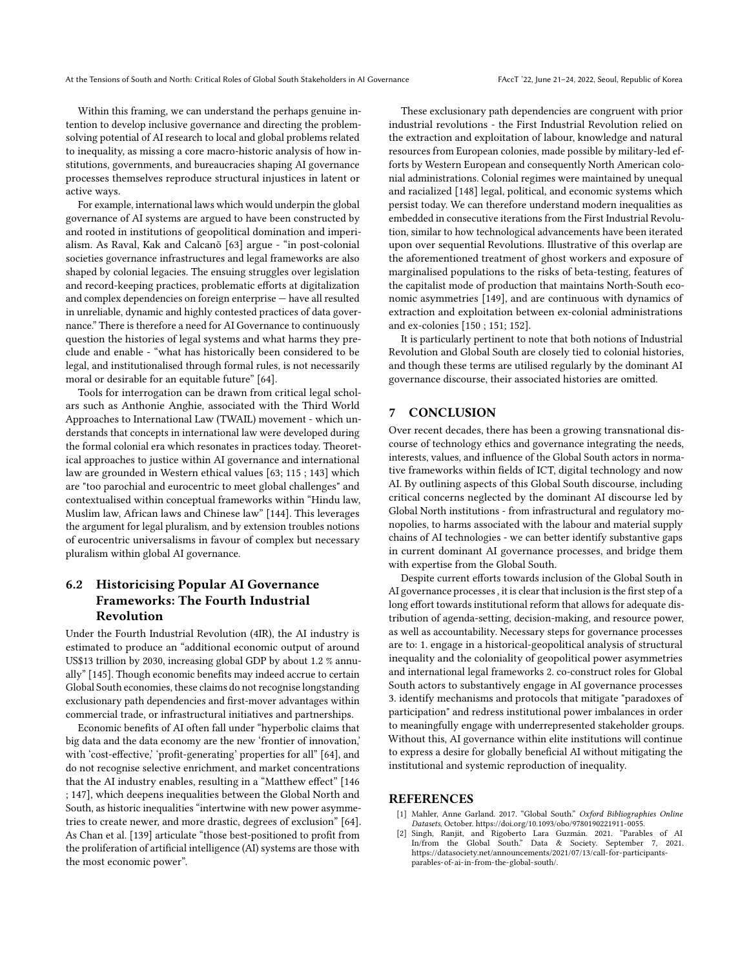Within this framing, we can understand the perhaps genuine intention to develop inclusive governance and directing the problemsolving potential of AI research to local and global problems related to inequality, as missing a core macro-historic analysis of how institutions, governments, and bureaucracies shaping AI governance processes themselves reproduce structural injustices in latent or active ways.

For example, international laws which would underpin the global governance of AI systems are argued to have been constructed by and rooted in institutions of geopolitical domination and imperialism. As Raval, Kak and Calcanõ [\[63\]](#page-10-2) argue - "in post-colonial societies governance infrastructures and legal frameworks are also shaped by colonial legacies. The ensuing struggles over legislation and record-keeping practices, problematic efforts at digitalization and complex dependencies on foreign enterprise — have all resulted in unreliable, dynamic and highly contested practices of data governance." There is therefore a need for AI Governance to continuously question the histories of legal systems and what harms they preclude and enable - "what has historically been considered to be legal, and institutionalised through formal rules, is not necessarily moral or desirable for an equitable future" [\[64\]](#page-10-3).

Tools for interrogation can be drawn from critical legal scholars such as Anthonie Anghie, associated with the Third World Approaches to International Law (TWAIL) movement - which understands that concepts in international law were developed during the formal colonial era which resonates in practices today. Theoretical approaches to justice within AI governance and international law are grounded in Western ethical values [\[63;](#page-10-2) [115](#page-11-5) ; [143\]](#page-11-33) which are "too parochial and eurocentric to meet global challenges" and contextualised within conceptual frameworks within "Hindu law, Muslim law, African laws and Chinese law" [\[144\]](#page-11-34). This leverages the argument for legal pluralism, and by extension troubles notions of eurocentric universalisms in favour of complex but necessary pluralism within global AI governance.

# 6.2 Historicising Popular AI Governance Frameworks: The Fourth Industrial Revolution

Under the Fourth Industrial Revolution (4IR), the AI industry is estimated to produce an "additional economic output of around US\$13 trillion by 2030, increasing global GDP by about 1.2 % annually" [\[145\]](#page-11-35). Though economic benefits may indeed accrue to certain Global South economies, these claims do not recognise longstanding exclusionary path dependencies and first-mover advantages within commercial trade, or infrastructural initiatives and partnerships.

Economic benefits of AI often fall under "hyperbolic claims that big data and the data economy are the new 'frontier of innovation,' with 'cost-effective,' 'profit-generating' properties for all" [\[64\]](#page-10-3), and do not recognise selective enrichment, and market concentrations that the AI industry enables, resulting in a "Matthew effect" [\[146](#page-11-36) ; [147\]](#page-11-37), which deepens inequalities between the Global North and South, as historic inequalities "intertwine with new power asymmetries to create newer, and more drastic, degrees of exclusion" [\[64\]](#page-10-3). As Chan et al. [\[139\]](#page-11-29) articulate "those best-positioned to profit from the proliferation of artificial intelligence (AI) systems are those with the most economic power".

These exclusionary path dependencies are congruent with prior industrial revolutions - the First Industrial Revolution relied on the extraction and exploitation of labour, knowledge and natural resources from European colonies, made possible by military-led efforts by Western European and consequently North American colonial administrations. Colonial regimes were maintained by unequal and racialized [\[148\]](#page-11-38) legal, political, and economic systems which persist today. We can therefore understand modern inequalities as embedded in consecutive iterations from the First Industrial Revolution, similar to how technological advancements have been iterated upon over sequential Revolutions. Illustrative of this overlap are the aforementioned treatment of ghost workers and exposure of marginalised populations to the risks of beta-testing, features of the capitalist mode of production that maintains North-South economic asymmetries [\[149\]](#page-11-39), and are continuous with dynamics of extraction and exploitation between ex-colonial administrations and ex-colonies [\[150](#page-11-40) ; [151;](#page-11-41) [152\]](#page-11-42).

It is particularly pertinent to note that both notions of Industrial Revolution and Global South are closely tied to colonial histories, and though these terms are utilised regularly by the dominant AI governance discourse, their associated histories are omitted.

### 7 CONCLUSION

Over recent decades, there has been a growing transnational discourse of technology ethics and governance integrating the needs, interests, values, and influence of the Global South actors in normative frameworks within fields of ICT, digital technology and now AI. By outlining aspects of this Global South discourse, including critical concerns neglected by the dominant AI discourse led by Global North institutions - from infrastructural and regulatory monopolies, to harms associated with the labour and material supply chains of AI technologies - we can better identify substantive gaps in current dominant AI governance processes, and bridge them with expertise from the Global South.

Despite current efforts towards inclusion of the Global South in AI governance processes , it is clear that inclusion is the first step of a long effort towards institutional reform that allows for adequate distribution of agenda-setting, decision-making, and resource power, as well as accountability. Necessary steps for governance processes are to: 1. engage in a historical-geopolitical analysis of structural inequality and the coloniality of geopolitical power asymmetries and international legal frameworks 2. co-construct roles for Global South actors to substantively engage in AI governance processes 3. identify mechanisms and protocols that mitigate "paradoxes of participation" and redress institutional power imbalances in order to meaningfully engage with underrepresented stakeholder groups. Without this, AI governance within elite institutions will continue to express a desire for globally beneficial AI without mitigating the institutional and systemic reproduction of inequality.

#### REFERENCES

- <span id="page-8-0"></span>[1] Mahler, Anne Garland. 2017. "Global South." Oxford Bibliographies Online Datasets, October. [https://doi.org/10.1093/obo/9780190221911-0055.](https://doi.org/10.1093/obo/9780190221911-0055)
- <span id="page-8-1"></span>[2] Singh, Ranjit, and Rigoberto Lara Guzmán. 2021. "Parables of AI In/from the Global South." Data & Society. September 7, 2021. [https://datasociety.net/announcements/2021/07/13/call-for-participants](https://datasociety.net/announcements/2021/07/13/call-for-participants-parables-of-ai-in-from-the-global-south/)[parables-of-ai-in-from-the-global-south/.](https://datasociety.net/announcements/2021/07/13/call-for-participants-parables-of-ai-in-from-the-global-south/)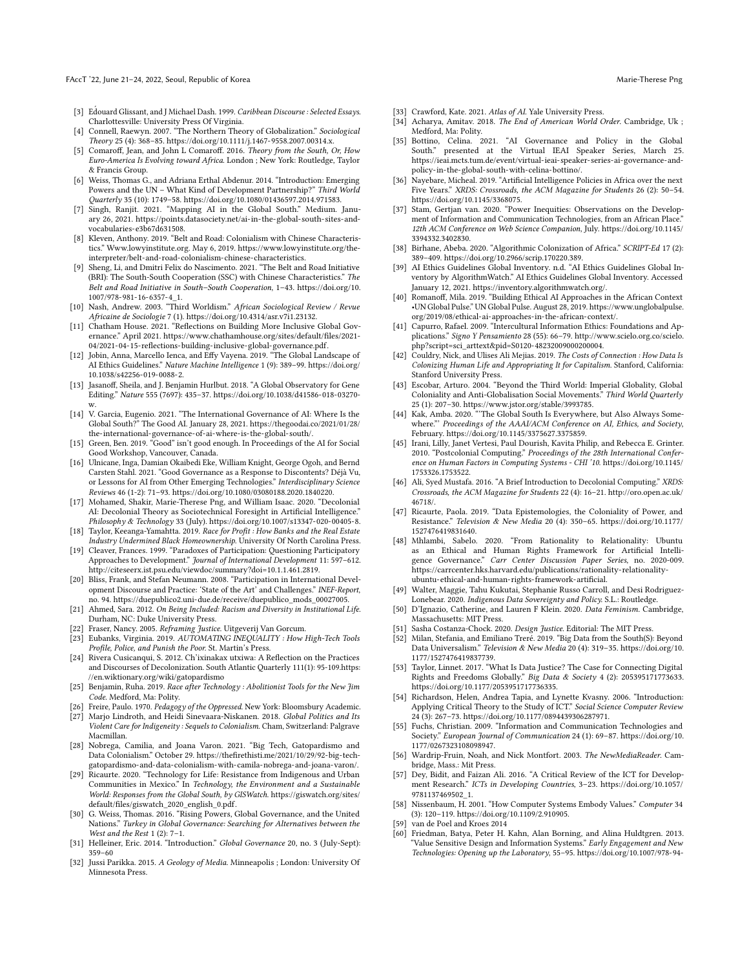#### FAccT '22, June 21-24, 2022, Seoul, Republic of Korea Marie-Therese Png and the Second Marie-Therese Png and Marie-Therese Png

- <span id="page-9-0"></span>[3] Edouard Glissant, and J Michael Dash. 1999. Caribbean Discourse : Selected Essays. Charlottesville: University Press Of Virginia.
- <span id="page-9-1"></span>[4] Connell, Raewyn. 2007. "The Northern Theory of Globalization." Sociological Theory 25 (4): 368–85. [https://doi.org/10.1111/j.1467-9558.2007.00314.x.](https://doi.org/10.1111/j.1467-9558.2007.00314.x)
- <span id="page-9-2"></span>[5] Comaroff, Jean, and John L Comaroff. 2016. Theory from the South, Or, How Euro-America Is Evolving toward Africa. London ; New York: Routledge, Taylor & Francis Group.
- <span id="page-9-3"></span>[6] Weiss, Thomas G., and Adriana Erthal Abdenur. 2014. "Introduction: Emerging Powers and the UN – What Kind of Development Partnership?" Third World Quarterly 35 (10): 1749–58. [https://doi.org/10.1080/01436597.2014.971583.](https://doi.org/10.1080/01436597.2014.971583)
- <span id="page-9-4"></span>[7] Singh, Ranjit. 2021. "Mapping AI in the Global South." Medium. January 26, 2021. [https://points.datasociety.net/ai-in-the-global-south-sites-and](https://points.datasociety.net/ai-in-the-global-south-sites-and-vocabularies-e3b67d631508)[vocabularies-e3b67d631508.](https://points.datasociety.net/ai-in-the-global-south-sites-and-vocabularies-e3b67d631508)
- <span id="page-9-5"></span>[8] Kleven, Anthony. 2019. "Belt and Road: Colonialism with Chinese Characteristics." Www.lowyinstitute.org. May 6, 2019. [https://www.lowyinstitute.org/the](https://www.lowyinstitute.org/the-interpreter/belt-and-road-colonialism-chinese-characteristics)[interpreter/belt-and-road-colonialism-chinese-characteristics.](https://www.lowyinstitute.org/the-interpreter/belt-and-road-colonialism-chinese-characteristics)
- <span id="page-9-6"></span>[9] Sheng, Li, and Dmitri Felix do Nascimento. 2021. "The Belt and Road Initiative (BRI): The South-South Cooperation (SSC) with Chinese Characteristics." The Belt and Road Initiative in South–South Cooperation, 1–43. [https://doi.org/10.](https://doi.org/10.1007/978-981-16-6357-4_1) [1007/978-981-16-6357-4\\_1.](https://doi.org/10.1007/978-981-16-6357-4_1)
- <span id="page-9-7"></span>[10] Nash, Andrew. 2003. "Third Worldism." African Sociological Review / Revue Africaine de Sociologie 7 (1). [https://doi.org/10.4314/asr.v7i1.23132.](https://doi.org/10.4314/asr.v7i1.23132)
- <span id="page-9-8"></span>[11] Chatham House. 2021. "Reflections on Building More Inclusive Global Governance." April 2021. [https://www.chathamhouse.org/sites/default/files/2021-](https://www.chathamhouse.org/sites/default/files/2021-04/2021-04-15-reflections-building-inclusive-global-governance.pdf) [04/2021-04-15-reflections-building-inclusive-global-governance.pdf.](https://www.chathamhouse.org/sites/default/files/2021-04/2021-04-15-reflections-building-inclusive-global-governance.pdf)
- <span id="page-9-9"></span>[12] Jobin, Anna, Marcello Ienca, and Effy Vayena. 2019. "The Global Landscape of AI Ethics Guidelines." Nature Machine Intelligence 1 (9): 389–99. [https://doi.org/](https://doi.org/10.1038/s42256-019-0088-2) [10.1038/s42256-019-0088-2.](https://doi.org/10.1038/s42256-019-0088-2)
- <span id="page-9-10"></span>[13] Jasanoff, Sheila, and J. Benjamin Hurlbut. 2018. "A Global Observatory for Gene Editing." Nature 555 (7697): 435–37. [https://doi.org/10.1038/d41586-018-03270-](https://doi.org/10.1038/d41586-018-03270-w)
- <span id="page-9-11"></span>[w.](https://doi.org/10.1038/d41586-018-03270-w) [14] V. Garcia, Eugenio. 2021. "The International Governance of AI: Where Is the Global South?" The Good AI. January 28, 2021. [https://thegoodai.co/2021/01/28/](https://thegoodai.co/2021/01/28/the-international-governance-of-ai-where-is-the-global-south/) [the-international-governance-of-ai-where-is-the-global-south/.](https://thegoodai.co/2021/01/28/the-international-governance-of-ai-where-is-the-global-south/) [15] Green, Ben. 2019. "Good" isn't good enough. In Proceedings of the AI for Social
- <span id="page-9-12"></span>Good Workshop, Vancouver, Canada.
- <span id="page-9-13"></span>[16] Ulnicane, Inga, Damian Okaibedi Eke, William Knight, George Ogoh, and Bernd Carsten Stahl. 2021. "Good Governance as a Response to Discontents? Déjà Vu, or Lessons for AI from Other Emerging Technologies." Interdisciplinary Science Reviews 46 (1-2): 71–93. [https://doi.org/10.1080/03080188.2020.1840220.](https://doi.org/10.1080/03080188.2020.1840220)
- <span id="page-9-14"></span>[17] Mohamed, Shakir, Marie-Therese Png, and William Isaac. 2020. "Decolonial AI: Decolonial Theory as Sociotechnical Foresight in Artificial Intelligence." Philosophy & Technology 33 (July). [https://doi.org/10.1007/s13347-020-00405-8.](https://doi.org/10.1007/s13347-020-00405-8)
- <span id="page-9-15"></span>[18] Taylor, Keeanga-Yamahtta. 2019. Race for Profit : How Banks and the Real Estate Industry Undermined Black Homeownership. University Of North Carolina Press.
- <span id="page-9-16"></span>[19] Cleaver, Frances. 1999. "Paradoxes of Participation: Questioning Participatory Approaches to Development." Journal of International Development 11: 597–612. [http://citeseerx.ist.psu.edu/viewdoc/summary?doi=10.1.1.461.2819.](http://citeseerx.ist.psu.edu/viewdoc/summary?doi=10.1.1.461.2819)
- <span id="page-9-17"></span>[20] Bliss, Frank, and Stefan Neumann. 2008. "Participation in International Development Discourse and Practice: 'State of the Art' and Challenges." INEF-Report, no. 94. [https://duepublico2.uni-due.de/receive/duepublico\\_mods\\_00027005.](https://duepublico2.uni-due.de/receive/duepublico_mods_00027005)
- <span id="page-9-18"></span>[21] Ahmed, Sara. 2012. On Being Included: Racism and Diversity in Institutional Life. Durham, NC: Duke University Press.
- <span id="page-9-19"></span>[22] Fraser, Nancy. 2005. Reframing Justice. Uitgeverij Van Gorcum.
- <span id="page-9-20"></span>[23] Eubanks, Virginia. 2019. AUTOMATING INEQUALITY : How High-Tech Tools Profile, Police, and Punish the Poor. St. Martin's Press.
- <span id="page-9-21"></span>[24] Rivera Cusicanqui, S. 2012. Ch'ixinakax utxiwa: A Reflection on the Practices and Discourses of Decolonization. South Atlantic Quarterly 111(1): 95-109[.https:](https://en.wiktionary.org/wiki/gatopardismo) [//en.wiktionary.org/wiki/gatopardismo](https://en.wiktionary.org/wiki/gatopardismo)
- <span id="page-9-22"></span>[25] Benjamin, Ruha. 2019. Race after Technology : Abolitionist Tools for the New Jim Code. Medford, Ma: Polity.
- <span id="page-9-23"></span>[26] Freire, Paulo. 1970. Pedagogy of the Oppressed. New York: Bloomsbury Academic.
- <span id="page-9-24"></span>[27] Marjo Lindroth, and Heidi Sinevaara-Niskanen. 2018. Global Politics and Its Violent Care for Indigeneity : Sequels to Colonialism. Cham, Switzerland: Palgrave Macmillan.
- <span id="page-9-25"></span>[28] Nobrega, Camilia, and Joana Varon. 2021. "Big Tech, Gatopardismo and Data Colonialism." October 29. [https://thefirethisti.me/2021/10/29/92-big-tech](https://thefirethisti.me/2021/10/29/92-big-tech-gatopardismo-and-data-colonialism-with-camila-nobrega-and-joana-varon/)[gatopardismo-and-data-colonialism-with-camila-nobrega-and-joana-varon/.](https://thefirethisti.me/2021/10/29/92-big-tech-gatopardismo-and-data-colonialism-with-camila-nobrega-and-joana-varon/)
- <span id="page-9-26"></span>[29] Ricaurte. 2020. "Technology for Life: Resistance from Indigenous and Urban Communities in Mexico." In Technology, the Environment and a Sustainable World: Responses from the Global South, by GISWatch. [https://giswatch.org/sites/](https://giswatch.org/sites/default/files/giswatch_2020_english_0.pdf) [default/files/giswatch\\_2020\\_english\\_0.pdf.](https://giswatch.org/sites/default/files/giswatch_2020_english_0.pdf)
- <span id="page-9-27"></span>[30] G. Weiss, Thomas. 2016. "Rising Powers, Global Governance, and the United Nations." Turkey in Global Governance: Searching for Alternatives between the West and the Rest  $1(2)$ :  $7-1$ .
- <span id="page-9-28"></span>[31] Helleiner, Eric. 2014. "Introduction." Global Governance 20, no. 3 (July-Sept): 359–60
- <span id="page-9-29"></span>[32] Jussi Parikka. 2015. A Geology of Media. Minneapolis ; London: University Of [Minnesota Press.](https://doi.org/10.1007/978-94-007-7844-3_4)
- <span id="page-9-30"></span>[33] Crawford, Kate. 2021. Atlas of AI. Yale University Press.
- <span id="page-9-31"></span>[34] Acharya, Amitav. 2018. The End of American World Order. Cambridge, Uk ; Medford, Ma: Polity.
- <span id="page-9-32"></span>[35] Bottino, Celina. 2021. "AI Governance and Policy in the Global South." presented at the Virtual IEAI Speaker Series, March 25. [https://ieai.mcts.tum.de/event/virtual-ieai-speaker-series-ai-governance-and](https://ieai.mcts.tum.de/event/virtual-ieai-speaker-series-ai-governance-and-policy-in-the-global-south-with-celina-bottino/)[policy-in-the-global-south-with-celina-bottino/.](https://ieai.mcts.tum.de/event/virtual-ieai-speaker-series-ai-governance-and-policy-in-the-global-south-with-celina-bottino/)
- <span id="page-9-33"></span>[36] Nayebare, Micheal. 2019. "Artificial Intelligence Policies in Africa over the next Five Years." XRDS: Crossroads, the ACM Magazine for Students 26 (2): 50–54. [https://doi.org/10.1145/3368075.](https://doi.org/10.1145/3368075)
- <span id="page-9-34"></span>[37] Stam, Gertjan van. 2020. "Power Inequities: Observations on the Development of Information and Communication Technologies, from an African Place 12th ACM Conference on Web Science Companion, July. [https://doi.org/10.1145/](https://doi.org/10.1145/3394332.3402830) [3394332.3402830.](https://doi.org/10.1145/3394332.3402830)
- <span id="page-9-35"></span>[38] Birhane, Abeba. 2020. "Algorithmic Colonization of Africa." SCRIPT-Ed 17 (2): 389–409. [https://doi.org/10.2966/scrip.170220.389.](https://doi.org/10.2966/scrip.170220.389)
- <span id="page-9-36"></span>[39] AI Ethics Guidelines Global Inventory. n.d. "AI Ethics Guidelines Global Inventory by AlgorithmWatch." AI Ethics Guidelines Global Inventory. Accessed January 12, 2021. [https://inventory.algorithmwatch.org/.](https://inventory.algorithmwatch.org/)
- <span id="page-9-37"></span>[40] Romanoff, Mila. 2019. "Building Ethical AI Approaches in the African Context •UN Global Pulse." UN Global Pulse. August 28, 2019. [https://www.unglobalpulse.](https://www.unglobalpulse.org/2019/08/ethical-ai-approaches-in-the-african-context/) [org/2019/08/ethical-ai-approaches-in-the-african-context/.](https://www.unglobalpulse.org/2019/08/ethical-ai-approaches-in-the-african-context/)
- <span id="page-9-38"></span>[41] Capurro, Rafael. 2009. "Intercultural Information Ethics: Foundations and Applications." Signo Y Pensamiento 28 (55): 66–79. [http://www.scielo.org.co/scielo.](http://www.scielo.org.co/scielo.php?script=sci_arttext&pid=S0120-48232009000200004) [php?script=sci\\_arttext&pid=S0120-48232009000200004.](http://www.scielo.org.co/scielo.php?script=sci_arttext&pid=S0120-48232009000200004)
- <span id="page-9-39"></span>[42] Couldry, Nick, and Ulises Ali Mejias. 2019. The Costs of Connection : How Data Is Colonizing Human Life and Appropriating It for Capitalism. Stanford, California: Stanford University Press.
- <span id="page-9-40"></span>[43] Escobar, Arturo. 2004. "Beyond the Third World: Imperial Globality, Global Coloniality and Anti-Globalisation Social Movements." Third World Quarterly
- <span id="page-9-41"></span>25 (1): 207–30. [https://www.jstor.org/stable/3993785.](https://www.jstor.org/stable/3993785) [44] Kak, Amba. 2020. "'The Global South Is Everywhere, but Also Always Somewhere."' Proceedings of the AAAI/ACM Conference on AI, Ethics, and Society, February. [https://doi.org/10.1145/3375627.3375859.](https://doi.org/10.1145/3375627.3375859)
- <span id="page-9-42"></span>[45] Irani, Lilly, Janet Vertesi, Paul Dourish, Kavita Philip, and Rebecca E. Grinter. 2010. "Postcolonial Computing." Proceedings of the 28th International Conference on Human Factors in Computing Systems - CHI '10. [https://doi.org/10.1145/](https://doi.org/10.1145/1753326.1753522) [1753326.1753522.](https://doi.org/10.1145/1753326.1753522)
- <span id="page-9-43"></span>[46] Ali, Syed Mustafa. 2016. "A Brief Introduction to Decolonial Computing." XRDS: Crossroads, the ACM Magazine for Students 22 (4): 16–21. [http://oro.open.ac.uk/](http://oro.open.ac.uk/46718/) [46718/.](http://oro.open.ac.uk/46718/)
- <span id="page-9-44"></span>[47] Ricaurte, Paola. 2019. "Data Epistemologies, the Coloniality of Power, and Resistance." Television & New Media 20 (4): 350–65. [https://doi.org/10.1177/](https://doi.org/10.1177/1527476419831640) [1527476419831640.](https://doi.org/10.1177/1527476419831640)
- <span id="page-9-45"></span>[48] Mhlambi, Sabelo. 2020. "From Rationality to Relationality: Ubuntu as an Ethical and Human Rights Framework for Artificial Intelligence Governance." Carr Center Discussion Paper Series, no. 2020-009. [https://carrcenter.hks.harvard.edu/publications/rationality-relationality](https://carrcenter.hks.harvard.edu/publications/rationality-relationality-ubuntu-ethical-and-human-rights-framework-artificial)[ubuntu-ethical-and-human-rights-framework-artificial.](https://carrcenter.hks.harvard.edu/publications/rationality-relationality-ubuntu-ethical-and-human-rights-framework-artificial)
- <span id="page-9-46"></span>[49] Walter, Maggie, Tahu Kukutai, Stephanie Russo Carroll, and Desi Rodriguez-Lonebear. 2020. Indigenous Data Sovereignty and Policy. S.L.: Routledge.
- <span id="page-9-47"></span>[50] D'Ignazio, Catherine, and Lauren F Klein. 2020. Data Feminism. Cambridge, Massachusetts: MIT Press.
- <span id="page-9-48"></span>[51] Sasha Costanza-Chock. 2020. Design Justice. Editorial: The MIT Press.
- <span id="page-9-49"></span>[52] Milan, Stefania, and Emiliano Treré. 2019. "Big Data from the South(S): Beyond Data Universalism." Television & New Media 20 (4): 319–35. [https://doi.org/10.](https://doi.org/10.1177/1527476419837739) [1177/1527476419837739.](https://doi.org/10.1177/1527476419837739)
- <span id="page-9-50"></span>[53] Taylor, Linnet. 2017. "What Is Data Justice? The Case for Connecting Digital Rights and Freedoms Globally." Big Data & Society 4 (2): 205395171773633. [https://doi.org/10.1177/2053951717736335.](https://doi.org/10.1177/2053951717736335)
- <span id="page-9-51"></span>[54] Richardson, Helen, Andrea Tapia, and Lynette Kvasny. 2006. "Introduction: Applying Critical Theory to the Study of ICT." Social Science Computer Review 24 (3): 267–73. [https://doi.org/10.1177/0894439306287971.](https://doi.org/10.1177/0894439306287971)
- <span id="page-9-52"></span>[55] Fuchs, Christian. 2009. "Information and Communication Technologies and Society." European Journal of Communication 24 (1): 69–87. [https://doi.org/10.](https://doi.org/10.1177/0267323108098947) [1177/0267323108098947.](https://doi.org/10.1177/0267323108098947)
- <span id="page-9-53"></span>[56] Wardrip-Fruin, Noah, and Nick Montfort. 2003. The NewMediaReader. Cambridge, Mass.: Mit Press.
- <span id="page-9-54"></span>Dey, Bidit, and Faizan Ali. 2016. "A Critical Review of the ICT for Development Research." ICTs in Developing Countries, 3–23. [https://doi.org/10.1057/](https://doi.org/10.1057/9781137469502_1) [9781137469502\\_1.](https://doi.org/10.1057/9781137469502_1)
- <span id="page-9-55"></span>[58] Nissenbaum, H. 2001. "How Computer Systems Embody Values." Computer 34 (3): 120–119. [https://doi.org/10.1109/2.910905.](https://doi.org/10.1109/2.910905)
- <span id="page-9-56"></span>van de Poel and Kroes 2014
- <span id="page-9-57"></span>Friedman, Batya, Peter H. Kahn, Alan Borning, and Alina Huldtgren. 2013. "Value Sensitive Design and Information Systems." Early Engagement and New Technologies: Opening up the Laboratory, 55–95. [https://doi.org/10.1007/978-94-](https://doi.org/10.1007/978-94-007-7844-3_4)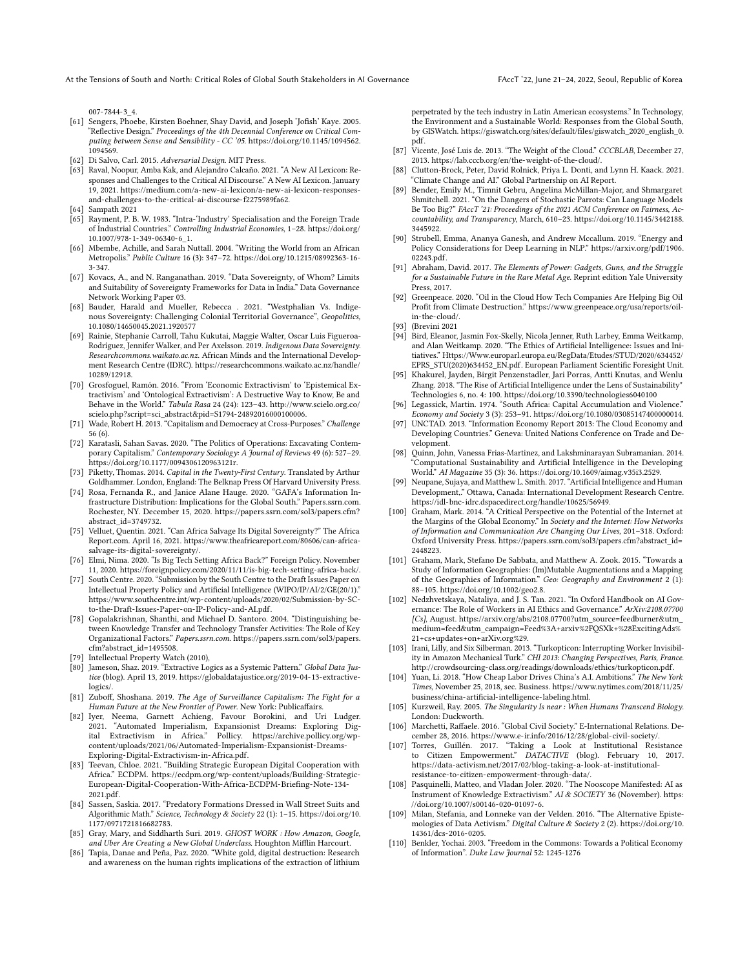At the Tensions of South and North: Critical Roles of Global South Stakeholders in AI Governance FAccT '22, June 21-24, 2022, Seoul, Republic of Korea

[007-7844-3\\_4.](https://doi.org/10.1007/978-94-007-7844-3_4)

- <span id="page-10-0"></span>[61] Sengers, Phoebe, Kirsten Boehner, Shay David, and Joseph 'Jofish' Kaye. 2005. "Reflective Design." Proceedings of the 4th Decennial Conference on Critical Computing between Sense and Sensibility - CC '05. [https://doi.org/10.1145/1094562.](https://doi.org/10.1145/1094562.1094569) [1094569.](https://doi.org/10.1145/1094562.1094569)
- <span id="page-10-1"></span>[62] Di Salvo, Carl. 2015. Adversarial Design. MIT Press.
- <span id="page-10-2"></span>[63] Raval, Noopur, Amba Kak, and Alejandro Calcaño. 2021. "A New AI Lexicon: Responses and Challenges to the Critical AI Discourse." A New AI Lexicon. January 19, 2021. [https://medium.com/a-new-ai-lexicon/a-new-ai-lexicon-responses](https://medium.com/a-new-ai-lexicon/a-new-ai-lexicon-responses-and-challenges-to-the-critical-ai-discourse-f2275989fa62)[and-challenges-to-the-critical-ai-discourse-f2275989fa62.](https://medium.com/a-new-ai-lexicon/a-new-ai-lexicon-responses-and-challenges-to-the-critical-ai-discourse-f2275989fa62)
- <span id="page-10-3"></span>[64] Sampath 2021
- <span id="page-10-4"></span>[65] Rayment, P. B. W. 1983. "Intra-'Industry' Specialisation and the Foreign Trade of Industrial Countries." Controlling Industrial Economies, 1–28. [https://doi.org/](https://doi.org/10.1007/978-1-349-06340-6_1) [10.1007/978-1-349-06340-6\\_1.](https://doi.org/10.1007/978-1-349-06340-6_1)
- <span id="page-10-5"></span>[66] Mbembe, Achille, and Sarah Nuttall. 2004. "Writing the World from an African Metropolis." Public Culture 16 (3): 347–72. [https://doi.org/10.1215/08992363-16-](https://doi.org/10.1215/08992363-16-3-347) [3-347.](https://doi.org/10.1215/08992363-16-3-347)
- <span id="page-10-6"></span>[67] Kovacs, A., and N. Ranganathan. 2019. "Data Sovereignty, of Whom? Limits and Suitability of Sovereignty Frameworks for Data in India." Data Governance Network Working Paper 03.
- <span id="page-10-7"></span>[68] Bauder, Harald and Mueller, Rebecca . 2021. "Westphalian Vs. Indigenous Sovereignty: Challenging Colonial Territorial Governance", Geopolitics, 10.1080/14650045.2021.1920577
- <span id="page-10-8"></span>[69] Rainie, Stephanie Carroll, Tahu Kukutai, Maggie Walter, Oscar Luis Figueroa-Rodríguez, Jennifer Walker, and Per Axelsson. 2019. Indigenous Data Sovereignty. Researchcommons.waikato.ac.nz. African Minds and the International Development Research Centre (IDRC). [https://researchcommons.waikato.ac.nz/handle/](https://researchcommons.waikato.ac.nz/handle/10289/12918) [10289/12918.](https://researchcommons.waikato.ac.nz/handle/10289/12918)
- <span id="page-10-9"></span>[70] Grosfoguel, Ramón. 2016. "From 'Economic Extractivism' to 'Epistemical Extractivism' and 'Ontological Extractivism': A Destructive Way to Know, Be and Behave in the World." Tabula Rasa 24 (24): 123–43. [http://www.scielo.org.co/](http://www.scielo.org.co/scielo.php?script=sci_abstract&pid=S1794-24892016000100006) [scielo.php?script=sci\\_abstract&pid=S1794-24892016000100006.](http://www.scielo.org.co/scielo.php?script=sci_abstract&pid=S1794-24892016000100006)
- <span id="page-10-10"></span>[71] Wade, Robert H. 2013. "Capitalism and Democracy at Cross-Purposes." Challenge 56 (6).
- <span id="page-10-11"></span>[72] Karatasli, Sahan Savas. 2020. "The Politics of Operations: Excavating Contemporary Capitalism." Contemporary Sociology: A Journal of Reviews 49 (6): 527–29. [https://doi.org/10.1177/0094306120963121r.](https://doi.org/10.1177/0094306120963121r)
- <span id="page-10-12"></span>[73] Piketty, Thomas. 2014. Capital in the Twenty-First Century. Translated by Arthur Goldhammer. London, England: The Belknap Press Of Harvard University Press.
- <span id="page-10-13"></span>[74] Rosa, Fernanda R., and Janice Alane Hauge. 2020. "GAFA's Information Infrastructure Distribution: Implications for the Global South." Papers.ssrn.com. Rochester, NY. December 15, 2020. [https://papers.ssrn.com/sol3/papers.cfm?](https://papers.ssrn.com/sol3/papers.cfm?abstract_id=3749732) [abstract\\_id=3749732.](https://papers.ssrn.com/sol3/papers.cfm?abstract_id=3749732)
- <span id="page-10-14"></span>[75] Velluet, Quentin. 2021. "Can Africa Salvage Its Digital Sovereignty?" The Africa Report.com. April 16, 2021. [https://www.theafricareport.com/80606/can-africa](https://www.theafricareport.com/80606/can-africa-salvage-its-digital-sovereignty/)[salvage-its-digital-sovereignty/.](https://www.theafricareport.com/80606/can-africa-salvage-its-digital-sovereignty/)
- <span id="page-10-15"></span>[76] Elmi, Nima. 2020. "Is Big Tech Setting Africa Back?" Foreign Policy. November 11, 2020. [https://foreignpolicy.com/2020/11/11/is-big-tech-setting-africa-back/.](https://foreignpolicy.com/2020/11/11/is-big-tech-setting-africa-back/)
- <span id="page-10-16"></span>[77] South Centre. 2020. "Submission by the South Centre to the Draft Issues Paper on Intellectual Property Policy and Artificial Intelligence (WIPO/IP/AI/2/GE(20/1)." [https://www.southcentre.int/wp-content/uploads/2020/02/Submission-by-SC](https://www.southcentre.int/wp-content/uploads/2020/02/Submission-by-SC-to-the-Draft-Issues-Paper-on-IP-Policy-and-AI.pdf)[to-the-Draft-Issues-Paper-on-IP-Policy-and-AI.pdf.](https://www.southcentre.int/wp-content/uploads/2020/02/Submission-by-SC-to-the-Draft-Issues-Paper-on-IP-Policy-and-AI.pdf)
- <span id="page-10-17"></span>[78] Gopalakrishnan, Shanthi, and Michael D. Santoro. 2004. "Distinguishing between Knowledge Transfer and Technology Transfer Activities: The Role of Key Organizational Factors." Papers.ssrn.com. [https://papers.ssrn.com/sol3/papers.](https://papers.ssrn.com/sol3/papers.cfm?abstract_id=1495508) [cfm?abstract\\_id=1495508.](https://papers.ssrn.com/sol3/papers.cfm?abstract_id=1495508)
- <span id="page-10-18"></span>[79] Intellectual Property Watch (2010),
- <span id="page-10-19"></span>[80] Jameson, Shaz. 2019. "Extractive Logics as a Systemic Pattern." Global Data Justice (blog). April 13, 2019. [https://globaldatajustice.org/2019-04-13-extractive](https://globaldatajustice.org/2019-04-13-extractive-logics/)[logics/.](https://globaldatajustice.org/2019-04-13-extractive-logics/)
- <span id="page-10-20"></span>[81] Zuboff, Shoshana. 2019. The Age of Surveillance Capitalism: The Fight for a Human Future at the New Frontier of Power. New York: Publicaffairs.
- <span id="page-10-21"></span>[82] Iyer, Neema, Garnett Achieng, Favour Borokini, and Uri Ludger. 2021. "Automated Imperialism, Expansionist Dreams: Exploring Dig-ital Extractivism in Africa." Pollicy. [https://archive.pollicy.org/wp](https://archive.pollicy.org/wp-content/uploads/2021/06/Automated-Imperialism-Expansionist-Dreams-Exploring-Digital-Extractivism-in-Africa.pdf)[content/uploads/2021/06/Automated-Imperialism-Expansionist-Dreams-](https://archive.pollicy.org/wp-content/uploads/2021/06/Automated-Imperialism-Expansionist-Dreams-Exploring-Digital-Extractivism-in-Africa.pdf)[Exploring-Digital-Extractivism-in-Africa.pdf.](https://archive.pollicy.org/wp-content/uploads/2021/06/Automated-Imperialism-Expansionist-Dreams-Exploring-Digital-Extractivism-in-Africa.pdf)
- <span id="page-10-22"></span>[83] Teevan, Chloe. 2021. "Building Strategic European Digital Cooperation with Africa." ECDPM. [https://ecdpm.org/wp-content/uploads/Building-Strategic-](https://ecdpm.org/wp-content/uploads/Building-Strategic-European-Digital-Cooperation-With-Africa-ECDPM-Briefing-Note-134-2021.pdf)[European-Digital-Cooperation-With-Africa-ECDPM-Briefing-Note-134-](https://ecdpm.org/wp-content/uploads/Building-Strategic-European-Digital-Cooperation-With-Africa-ECDPM-Briefing-Note-134-2021.pdf) [2021.pdf.](https://ecdpm.org/wp-content/uploads/Building-Strategic-European-Digital-Cooperation-With-Africa-ECDPM-Briefing-Note-134-2021.pdf)
- <span id="page-10-23"></span>[84] Sassen, Saskia. 2017. "Predatory Formations Dressed in Wall Street Suits and Algorithmic Math." Science, Technology & Society 22 (1): 1–15. [https://doi.org/10.](https://doi.org/10.1177/0971721816682783) [1177/0971721816682783.](https://doi.org/10.1177/0971721816682783)
- <span id="page-10-24"></span>[85] Gray, Mary, and Siddharth Suri. 2019. GHOST WORK : How Amazon, Google, and Uber Are Creating a New Global Underclass. Houghton Mifflin Harcourt.
- <span id="page-10-25"></span>[86] Tapia, Danae and Peña, Paz. 2020. "White gold, digital destruction: Research and awareness on the human rights implications of the extraction of lithium

perpetrated by the tech industry in Latin American ecosystems." In Technology, the Environment and a Sustainable World: Responses from the Global South, by GISWatch. [https://giswatch.org/sites/default/files/giswatch\\_2020\\_english\\_0.](https://giswatch.org/sites/default/files/giswatch_2020_english_0.pdf) [pdf.](https://giswatch.org/sites/default/files/giswatch_2020_english_0.pdf)

- <span id="page-10-26"></span>[87] Vicente, José Luis de. 2013. "The Weight of the Cloud." CCCBLAB, December 27, 2013. [https://lab.cccb.org/en/the-weight-of-the-cloud/.](https://lab.cccb.org/en/the-weight-of-the-cloud/)
- <span id="page-10-27"></span>[88] Clutton-Brock, Peter, David Rolnick, Priya L. Donti, and Lynn H. Kaack. 2021. "Climate Change and AI." Global Partnership on AI Report.
- <span id="page-10-28"></span>[89] Bender, Emily M., Timnit Gebru, Angelina McMillan-Major, and Shmargaret Shmitchell. 2021. "On the Dangers of Stochastic Parrots: Can Language Models Be Too Big?" FAccT '21: Proceedings of the 2021 ACM Conference on Fairness, Accountability, and Transparency, March, 610–23. [https://doi.org/10.1145/3442188.](https://doi.org/10.1145/3442188.3445922) [3445922.](https://doi.org/10.1145/3442188.3445922)
- <span id="page-10-29"></span>[90] Strubell, Emma, Ananya Ganesh, and Andrew Mccallum. 2019. "Energy and Policy Considerations for Deep Learning in NLP." [https://arxiv.org/pdf/1906.](https://arxiv.org/pdf/1906.02243.pdf) [02243.pdf.](https://arxiv.org/pdf/1906.02243.pdf)
- <span id="page-10-30"></span>[91] Abraham, David. 2017. The Elements of Power: Gadgets, Guns, and the Struggle for a Sustainable Future in the Rare Metal Age. Reprint edition Yale University Press, 2017.
- <span id="page-10-31"></span>[92] Greenpeace. 2020. "Oil in the Cloud How Tech Companies Are Helping Big Oil Profit from Climate Destruction." [https://www.greenpeace.org/usa/reports/oil](https://www.greenpeace.org/usa/reports/oil-in-the-cloud/)[in-the-cloud/.](https://www.greenpeace.org/usa/reports/oil-in-the-cloud/)
- <span id="page-10-32"></span>[93] (Brevini 2021
- <span id="page-10-33"></span>[94] Bird, Eleanor, Jasmin Fox-Skelly, Nicola Jenner, Ruth Larbey, Emma Weitkamp, and Alan Weitkamp. 2020. "The Ethics of Artificial Intelligence: Issues and Initiatives." [Https://Www.europarl.europa.eu/RegData/Etudes/STUD/2020/634452/](Https://Www.europarl.europa.eu/RegData/Etudes/STUD/2020/634452/EPRS_STU(2020)634452_EN.pdf) [EPRS\\_STU\(2020\)634452\\_EN.pdf.](Https://Www.europarl.europa.eu/RegData/Etudes/STUD/2020/634452/EPRS_STU(2020)634452_EN.pdf) European Parliament Scientific Foresight Unit.
- <span id="page-10-34"></span>[95] Khakurel, Jayden, Birgit Penzenstadler, Jari Porras, Antti Knutas, and Wenlu Zhang. 2018. "The Rise of Artificial Intelligence under the Lens of Sustainability" Technologies 6, no. 4: 100.<https://doi.org/10.3390/technologies6040100>
- <span id="page-10-35"></span>[96] Legassick, Martin. 1974. "South Africa: Capital Accumulation and Violence." Economy and Society 3 (3): 253–91. [https://doi.org/10.1080/03085147400000014.](https://doi.org/10.1080/03085147400000014)
- <span id="page-10-36"></span>[97] UNCTAD. 2013. "Information Economy Report 2013: The Cloud Economy and Developing Countries." Geneva: United Nations Conference on Trade and Development.
- <span id="page-10-37"></span>[98] Quinn, John, Vanessa Frias-Martinez, and Lakshminarayan Subramanian. 2014. "Computational Sustainability and Artificial Intelligence in the Developing World." AI Magazine 35 (3): 36. [https://doi.org/10.1609/aimag.v35i3.2529.](https://doi.org/10.1609/aimag.v35i3.2529)
- <span id="page-10-38"></span>[99] Neupane, Sujaya, and Matthew L. Smith. 2017. "Artificial Intelligence and Human Development,." Ottawa, Canada: International Development Research Centre. [https://idl-bnc-idrc.dspacedirect.org/handle/10625/56949.](https://idl-bnc-idrc.dspacedirect.org/handle/10625/56949)
- <span id="page-10-39"></span>[100] Graham, Mark. 2014. "A Critical Perspective on the Potential of the Internet at the Margins of the Global Economy." In Society and the Internet: How Networks of Information and Communication Are Changing Our Lives, 201–318. Oxford: Oxford University Press. [https://papers.ssrn.com/sol3/papers.cfm?abstract\\_id=](https://papers.ssrn.com/sol3/papers.cfm?abstract_id=2448223) [2448223.](https://papers.ssrn.com/sol3/papers.cfm?abstract_id=2448223)
- <span id="page-10-40"></span>[101] Graham, Mark, Stefano De Sabbata, and Matthew A. Zook. 2015. "Towards a Study of Information Geographies: (Im)Mutable Augmentations and a Mapping of the Geographies of Information." Geo: Geography and Environment 2 (1): 88–105. [https://doi.org/10.1002/geo2.8.](https://doi.org/10.1002/geo2.8)
- <span id="page-10-41"></span>[102] Nedzhvetskaya, Nataliya, and J. S. Tan. 2021. "In Oxford Handbook on AI Governance: The Role of Workers in AI Ethics and Governance." ArXiv:2108.07700 [Cs], August. [https://arxiv.org/abs/2108.07700?utm\\_source=feedburner&utm\\_](https://arxiv.org/abs/2108.07700?utm_source=feedburner&utm_medium=feed&utm_campaign=Feed%3A+arxiv%2FQSXk+%28ExcitingAds%21+cs+updates+on+arXiv.org%29) [medium=feed&utm\\_campaign=Feed%3A+arxiv%2FQSXk+%28ExcitingAds%](https://arxiv.org/abs/2108.07700?utm_source=feedburner&utm_medium=feed&utm_campaign=Feed%3A+arxiv%2FQSXk+%28ExcitingAds%21+cs+updates+on+arXiv.org%29) [21+cs+updates+on+arXiv.org%29.](https://arxiv.org/abs/2108.07700?utm_source=feedburner&utm_medium=feed&utm_campaign=Feed%3A+arxiv%2FQSXk+%28ExcitingAds%21+cs+updates+on+arXiv.org%29)
- <span id="page-10-42"></span>[103] Irani, Lilly, and Six Silberman. 2013. "Turkopticon: Interrupting Worker Invisibility in Amazon Mechanical Turk." CHI 2013: Changing Perspectives, Paris, France. [http://crowdsourcing-class.org/readings/downloads/ethics/turkopticon.pdf.](http://crowdsourcing-class.org/readings/downloads/ethics/turkopticon.pdf)
- <span id="page-10-43"></span>[104] Yuan, Li. 2018. "How Cheap Labor Drives China's A.I. Ambitions." The New York Times, November 25, 2018, sec. Business. [https://www.nytimes.com/2018/11/25/](https://www.nytimes.com/2018/11/25/business/china-artificial-intelligence-labeling.html) [business/china-artificial-intelligence-labeling.html.](https://www.nytimes.com/2018/11/25/business/china-artificial-intelligence-labeling.html)
- <span id="page-10-44"></span>[105] Kurzweil, Ray. 2005. The Singularity Is near : When Humans Transcend Biology. London: Duckworth.
- <span id="page-10-45"></span>[106] Marchetti, Raffaele. 2016. "Global Civil Society." E-International Relations. December 28, 2016. [https://www.e-ir.info/2016/12/28/global-civil-society/.](https://www.e-ir.info/2016/12/28/global-civil-society/)
- <span id="page-10-46"></span>[107] Torres, Guillén. 2017. "Taking a Look at Institutional Resistance to Citizen Empowerment." DATACTIVE (blog). February 10, 2017. [https://data-activism.net/2017/02/blog-taking-a-look-at-institutional](https://data-activism.net/2017/02/blog-taking-a-look-at-institutional-resistance-to-citizen-empowerment-through-data/)[resistance-to-citizen-empowerment-through-data/.](https://data-activism.net/2017/02/blog-taking-a-look-at-institutional-resistance-to-citizen-empowerment-through-data/)
- <span id="page-10-47"></span>[108] Pasquinelli, Matteo, and Vladan Joler. 2020. "The Nooscope Manifested: AI as Instrument of Knowledge Extractivism." AI & SOCIETY 36 (November). [https:](https://doi.org/10.1007/s00146-020-01097-6) [//doi.org/10.1007/s00146-020-01097-6.](https://doi.org/10.1007/s00146-020-01097-6)
- <span id="page-10-48"></span>[109] Milan, Stefania, and Lonneke van der Velden. 2016. "The Alternative Epistemologies of Data Activism." Digital Culture & Society 2 (2). [https://doi.org/10.](https://doi.org/10.14361/dcs-2016-0205) [14361/dcs-2016-0205.](https://doi.org/10.14361/dcs-2016-0205)
- <span id="page-10-49"></span>[110] Benkler, Yochai. 2003. "Freedom in the Commons: Towards a Political Economy of Information". Duke Law Journal 52: 1245-1276